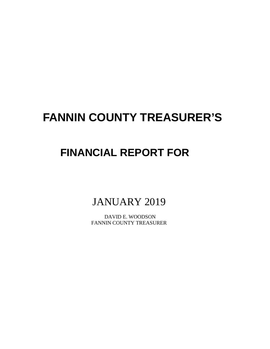# **FANNIN COUNTY TREASURER'S**

# **FINANCIAL REPORT FOR**

JANUARY 2019

 DAVID E. WOODSON FANNIN COUNTY TREASURER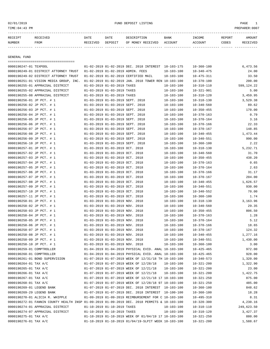#### 02/01/2019 FUND DEPOSIT LISTING PAGE 1

| ויזים           | DATE | DATE | $\cdots$ | BANF |             | <b>REPORT</b> |  |
|-----------------|------|------|----------|------|-------------|---------------|--|
| <b>NITIMD T</b> |      |      | י דר     |      | יויׂו⁄⊔⊥∪ ה |               |  |

------------- ------------------------- ---------- ---------- ------------------- -------------- -------------- ------ ------------

GENERAL FUND

| =====================================                                                        |                                                                    |                                                      |                                      |                  |                    |
|----------------------------------------------------------------------------------------------|--------------------------------------------------------------------|------------------------------------------------------|--------------------------------------|------------------|--------------------|
| 0000190247-01 TEXPOOL                                                                        |                                                                    | 01-02-2019 01-02-2019 DEC. 2018 INTEREST 10-103-175  |                                      | $10 - 360 - 100$ | 6,473.56           |
| 0000190249-01 DISTRICT ATTORNEY TRUST                                                        |                                                                    | 01-02-2019 01-02-2019 ADMIN. FEES                    | $10 - 103 - 100$                     | $10 - 340 - 475$ | 24.00              |
| 0000190249-02 DISTRICT ATTORNEY TRUST                                                        |                                                                    | 01-02-2019 01-02-2019 CERTIFIED MAIL                 | $10 - 103 - 100$                     | $10 - 475 - 311$ | 33.50              |
| 0000190251-01 VISION MEDIA GROUP, INC.                                                       |                                                                    | 01-02-2019 01-02-2019 JAN. 2018 TOWER REN 10-103-100 |                                      | $10 - 370 - 100$ | 200.00             |
| 0000190255-01 APPRAISAL DISTRICT                                                             | 01-03-2019 01-03-2019 TAXES                                        |                                                      | $10 - 103 - 100$                     | $10 - 310 - 110$ | 599,124.22         |
| 0000190255-02 APPRAISAL DISTRICT                                                             | 01-03-2019 01-03-2019 TAXES                                        |                                                      | $10 - 103 - 100$                     | $10 - 321 - 901$ | 5.00               |
| 0000190255-08 APPRAISAL DISTRICT                                                             | 01-03-2019 01-03-2019 TAXES                                        |                                                      | $10 - 103 - 100$                     | $10 - 310 - 120$ | 3,459.95           |
| 0000190256-01 JP PCT. # 1                                                                    |                                                                    | 01-03-2019 01-03-2019 SEPT. 2018                     | $10 - 103 - 100$                     | $10 - 318 - 130$ | 3,529.38           |
| 0000190256-02 JP PCT. # 1                                                                    |                                                                    | 01-03-2019 01-03-2019 SEPT. 2018                     | $10 - 103 - 100$                     | $10 - 340 - 560$ | 89.62              |
| 0000190256-03 JP PCT. # 1                                                                    |                                                                    | 01-03-2019 01-03-2019 SEPT. 2018                     | $10 - 103 - 100$                     | $10 - 350 - 455$ | 170.00             |
| 0000190256-04 JP PCT. # 1                                                                    |                                                                    | 01-03-2019 01-03-2019 SEPT. 2018                     | $10 - 103 - 100$                     | $10 - 370 - 163$ | 0.79               |
| 0000190256-05 JP PCT. # 1                                                                    |                                                                    | 01-03-2019 01-03-2019 SEPT. 2018                     | $10 - 103 - 100$                     | $10 - 370 - 164$ | 3.16               |
| 0000190256-06 JP PCT. # 1                                                                    | 01-03-2019 01-03-2019 SEPT. 2018                                   |                                                      | $10 - 103 - 100$                     | $10 - 370 - 166$ | 22.33              |
| 0000190256-07 JP PCT. # 1                                                                    |                                                                    | 01-03-2019 01-03-2019 SEPT. 2018                     | $10 - 103 - 100$                     | $10 - 370 - 167$ | 148.85             |
| 0000190256-08 JP PCT. # 1                                                                    | 01-03-2019 01-03-2019 SEPT. 2018                                   |                                                      | $10 - 103 - 100$                     | $10 - 340 - 455$ | 1,473.44           |
| 0000190256-09 JP PCT. # 1                                                                    |                                                                    | 01-03-2019 01-03-2019 SEPT. 2018                     | $10 - 103 - 100$                     | $10 - 340 - 551$ | 990.00             |
| 0000190256-10 JP PCT. # 1                                                                    | 01-03-2019 01-03-2019 SEPT. 2018                                   |                                                      | $10 - 103 - 100$                     | $10 - 360 - 100$ | 2.22               |
| 0000190257-01 JP PCT. # 1                                                                    | 01-03-2019 01-03-2019 OCT. 2018                                    |                                                      | $10 - 103 - 100$                     | $10 - 318 - 130$ | 5,232.71           |
| 0000190257-02 JP PCT. # 1                                                                    | 01-03-2019 01-03-2019 OCT. 2018                                    |                                                      | $10 - 103 - 100$                     | $10 - 340 - 560$ | 31.70              |
| 0000190257-03 JP PCT. # 1                                                                    | 01-03-2019 01-03-2019 OCT. 2018                                    |                                                      | $10 - 103 - 100$                     | $10 - 350 - 455$ | 438.20             |
| 0000190257-04 JP PCT. # 1                                                                    | 01-03-2019 01-03-2019 OCT. 2018                                    |                                                      | $10 - 103 - 100$                     | $10 - 370 - 163$ | 0.65               |
| 0000190257-05 JP PCT. # 1                                                                    | 01-03-2019 01-03-2019 OCT, 2018                                    |                                                      | $10 - 103 - 100$                     | $10 - 370 - 164$ | 2.63               |
| 0000190257-06 JP PCT. # 1                                                                    | 01-03-2019 01-03-2019 OCT. 2018                                    |                                                      | $10 - 103 - 100$                     | $10 - 370 - 166$ | 31.17              |
| 0000190257-07 JP PCT. # 1                                                                    | 01-03-2019 01-03-2019 OCT. 2018                                    |                                                      | $10 - 103 - 100$                     | $10 - 370 - 167$ | 204.00             |
| 0000190257-08 JP PCT. # 1                                                                    | 01-03-2019 01-03-2019 OCT. 2018                                    |                                                      | $10 - 103 - 100$                     | $10 - 340 - 455$ | 1,626.57           |
| 0000190257-09 JP PCT. # 1                                                                    | 01-03-2019 01-03-2019 OCT. 2018                                    |                                                      | $10 - 103 - 100$                     | $10 - 340 - 551$ | 930.00             |
| 0000190257-10 JP PCT. # 1                                                                    | 01-03-2019 01-03-2019 OCT. 2018                                    |                                                      | $10 - 103 - 100$                     | $10 - 340 - 552$ | 70.00              |
| 0000190257-11 JP PCT. # 1                                                                    | 01-03-2019 01-03-2019 OCT. 2018                                    |                                                      | $10 - 103 - 100$                     | $10 - 360 - 100$ | 1.74               |
| 0000190258-01 JP PCT. # 1                                                                    | 01-03-2019 01-03-2019 NOV. 2018                                    |                                                      | $10 - 103 - 100$                     | $10 - 318 - 130$ | 3,163.96           |
| 0000190258-02 JP PCT. # 1                                                                    | 01-03-2019 01-03-2019 NOV. 2018                                    |                                                      | $10 - 103 - 100$                     | $10 - 340 - 560$ | 29.35              |
| 0000190258-03 JP PCT. # 1                                                                    | 01-03-2019 01-03-2019 NOV. 2018                                    |                                                      | $10 - 103 - 100$                     | $10 - 350 - 455$ | 806.50             |
|                                                                                              | 01-03-2019 01-03-2019 NOV. 2018                                    |                                                      | $10 - 103 - 100$                     | $10 - 370 - 163$ | 1.28               |
| 0000190258-04 JP PCT. # 1<br>0000190258-05 JP PCT. # 1                                       | 01-03-2019 01-03-2019 NOV. 2018                                    |                                                      | $10 - 103 - 100$                     | $10 - 370 - 164$ | 5.12               |
|                                                                                              |                                                                    |                                                      |                                      |                  |                    |
| 0000190258-06 JP PCT. # 1<br>0000190258-07 JP PCT. # 1                                       | 01-03-2019 01-03-2019 NOV. 2018<br>01-03-2019 01-03-2019 NOV. 2018 |                                                      | $10 - 103 - 100$                     | $10 - 370 - 166$ | 18.65<br>124.32    |
|                                                                                              |                                                                    |                                                      | $10 - 103 - 100$<br>$10 - 103 - 100$ | $10 - 370 - 167$ |                    |
| 0000190258-08 JP PCT. # 1                                                                    | 01-03-2019 01-03-2019 NOV. 2018                                    |                                                      |                                      | $10 - 340 - 455$ | 1,277.16           |
| 0000190258-09 JP PCT. # 1                                                                    | 01-03-2019 01-03-2019 NOV. 2018                                    |                                                      | $10 - 103 - 100$                     | $10 - 340 - 551$ | 1,430.00           |
| 0000190258-10 JP PCT. # 1                                                                    | 01-03-2019 01-03-2019 NOV. 2018                                    |                                                      | $10 - 103 - 100$                     | $10 - 360 - 100$ | 3.00<br>972.00     |
| 0000190259-01 COMPTROLLER                                                                    |                                                                    | 01-04-2019 01-04-2019 PHYSICAL EVID. ANAL 10-103-100 |                                      | $10 - 425 - 465$ |                    |
| 0000190260-01 COMPTROLLER                                                                    |                                                                    | 01-04-2019 01-04-2019 PHYSICAL EVID. ANAL 10-103-100 |                                      | $10 - 425 - 465$ | 928.00<br>1,320.00 |
| 0000190261-01 BOND SUPERVISION                                                               |                                                                    | 01-07-2019 01-07-2019 WEEK OF 12/31/18 TH 10-103-100 |                                      | $10 - 340 - 573$ |                    |
| 0000190264-01 TAX A/C                                                                        |                                                                    | 01-07-2019 01-07-2019 WEEK OF 12/28/18               | 10-103-100                           | $10 - 321 - 200$ | 1,322.90           |
| 0000190265-01 TAX A/C                                                                        |                                                                    | 01-07-2019 01-07-2019 WEEK OF 12/21/18               | 10-103-100                           | $10 - 321 - 200$ | 23.00              |
| 0000190266-01 TAX A/C                                                                        |                                                                    | 01-07-2019 01-07-2019 WEEK OF 12/21/18               | $10 - 103 - 100$                     | $10 - 321 - 200$ | 1,422.75           |
| 0000190267-01 TAX A/C                                                                        |                                                                    | 01-07-2019 01-07-2019 WEEK OF 12/21/18 17 10-103-100 |                                      | $10 - 321 - 250$ | 875.00             |
| 0000190268-01 TAX A/C                                                                        |                                                                    | 01-07-2019 01-07-2019 WEEK OF 12/28/18 97 10-103-100 |                                      | $10 - 321 - 250$ | 485.00             |
| 0000190269-01 LEGEND BANK                                                                    |                                                                    | 01-07-2019 01-07-2019 DEC. 2018 INTEREST 10-103-100  |                                      | $10 - 360 - 100$ | 848.62             |
| 0000190269-29 LEGEND BANK                                                                    |                                                                    | 01-07-2019 01-07-2019 DEC. 2018 INTEREST 10-100-100  |                                      | $10 - 360 - 100$ | 18.28              |
| 0000190270-01 ALICIA R. WHIPPLE                                                              |                                                                    | 01-09-2019 01-09-2019 REIMBURSEMENT FOR C 10-103-100 |                                      | $10 - 495 - 310$ | 8.31               |
| 0000190272-01 FANNIN COUNTY HEALTH INSP 01-09-2019 01-09-2019 DEC. 2018 PERMITS & 10-103-100 |                                                                    |                                                      |                                      | $10 - 320 - 300$ | 4,230.16           |
| 0000190274-01 APPRAISAL DISTRICT                                                             | 01-10-2019 01-10-2019 TAXES                                        |                                                      | $10 - 103 - 100$                     | $10 - 310 - 110$ | 249,623.50         |
| 0000190274-07 APPRAISAL DISTRICT                                                             | 01-10-2019 01-10-2019 TAXES                                        |                                                      | $10 - 103 - 100$                     | $10 - 310 - 120$ | 3,427.37           |
| 0000190275-01 TAX A/C                                                                        |                                                                    | 01-10-2019 01-10-2019 WEEK OF 01/04/19 17 10-103-100 |                                      | $10 - 321 - 250$ | 880.00             |
| 0000190276-01 TAX A/C                                                                        |                                                                    | 01-10-2019 01-10-2019 01/04/19-SLPIT WEEK 10-103-100 |                                      | $10 - 321 - 200$ | 1,588.67           |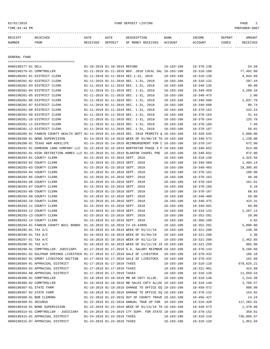#### 02/01/2019 FUND DEPOSIT LISTING PAGE 2

| RECEIPT       | <b>RECEIVED</b> | DATE     | DATE    | DESCRIPTION       | BANK    | INCOME  | <b>REPORT</b> | AMOUNT |
|---------------|-----------------|----------|---------|-------------------|---------|---------|---------------|--------|
| <b>NUMBER</b> | FROM            | RECEIVED | DEPOSIT | OF MONEY RECEIVED | ACCOUNT | ACCOUNT | CODES         | CEIVED |
|               |                 |          |         |                   |         |         |               |        |

GENERAL FUND

=================================== 0000190277-01 DELL 01-10-2019 01-10-2019 REFUND 10-103-100 10-370-130 54.58 0000190279-01 COMPTROLLER 01-11-2019 01-11-2019 NOV. 2018 LOCAL SAL 10-103-100 10-318-160 77,492.80 0000190281-01 DISTRICT CLERK 01-11-2019 01-11-2019 DEC.1-31, 2018 10-103-100 10-318-130 4,944.89 0000190281-02 DISTRICT CLERK 01-11-2019 01-11-2019 DEC. 1-31, 2018 10-103-100 10-318-132 297.44 0000190281-03 DISTRICT CLERK 01-11-2019 01-11-2019 DEC. 1-31, 2018 10-103-100 10-340-135 90.00 0000190281-04 DISTRICT CLERK 01-11-2019 01-11-2019 DEC. 1-31, 2018 10-103-100 10-340-450 3,299.10 0000190281-05 DISTRICT CLERK 01-11-2019 01-11-2019 DEC. 1-31, 2018 10-103-100 10-340-475 2.00 0000190281-06 DISTRICT CLERK 01-11-2019 01-11-2019 DEC. 1-31, 2018 10-103-100 10-340-560 1,037.78 0000190281-07 DISTRICT CLERK 01-11-2019 01-11-2019 DEC. 1-31, 2018 10-103-100 10-340-600 80.74 0000190281-08 DISTRICT CLERK 01-11-2019 01-11-2019 DEC. 1-31, 2018 10-103-100 10-370-162 242.24 0000190281-09 DISTRICT CLERK  $01-11-2019$  01-11-2019 DEC. 1-31, 2018 10-103-100 10-370-163 31.44 0000190281-10 DISTRICT CLERK  $01-11-2019$  01-11-2019 DEC. 1-31, 2018 10-103-100 10-370-164 125.78 0000190281-11 DISTRICT CLERK 01-11-2019 01-11-2019 DEC. 1-31, 2018 10-103-100 10-370-166 7.40 0000190281-12 DISTRICT CLERK 01-11-2019 01-11-2019 DEC. 1-31, 2018 10-103-100 10-370-167 50.01 0000190285-01 FANNIN COUNTY HEALTH DEPT 01-14-2019 01-14-2019 DEC. 2018 PERMITS & 10-103-100 10-320-545 2,000.00 0000190286-01 BOND SUPERVISION 01-14-2019 01-14-2019 WEEK OF 01/06/19 TH 10-103-100 10-340-573 1,130.00 0000190288-01 TEXAS A&M AGRILIFE 01-14-2019 01-14-2019 REIMBURSEMENT FOR C 10-103-100 10-370-147 672.00 0000190291-01 DAMERON LAND COMPANY LLC 01-15-2019 01-15-2019 NORTHSTAR PHASE 3 P 10-103-100 10-340-652 614.00 0000190292-01 HIGH DEFINITION HOMES LLC 01-15-2019 01-15-2019 BLANTON CHAPEL PRE 10-103-100 10-340-652 872.00 0000190293-01 COUNTY CLERK 01-15-2019 01-15-2019 SEPT. 2018 10-103-100 10-318-130 4,325.56 0000190293-02 COUNTY CLERK 01-15-2019 01-15-2019 SEPT. 2018 10-103-100 10-340-560 1,484.14 0000190293-03 COUNTY CLERK 01-15-2019 01-15-2019 SEPT. 2018 10-103-100 10-340-403 19,305.85 0000190293-04 COUNTY CLERK 01-15-2019 01-15-2019 SEPT. 2018 10-103-100 10-370-162 180.00 0000190293-05 COUNTY CLERK 01-15-2019 01-15-2019 SEPT. 2018 10-103-100 10-370-163 40.40 0000190293-06 COUNTY CLERK 01-15-2019 01-15-2019 SEPT. 2018 10-103-100 10-370-164 161.61 0000190293-07 COUNTY CLERK 01-15-2019 01-15-2019 SEPT. 2018 10-103-100 10-370-166 9.10 0000190293-08 COUNTY CLERK 00001-15-2019 01-15-2019 SEPT. 2018 10-103-100 10-370-167 60.83 0000190293-09 COUNTY CLERK 01-15-2019 01-15-2019 SEPT. 2018 10-103-100 10-340-400 50.00 0000190293-10 COUNTY CLERK 01-15-2019 01-15-2019 SEPT. 2018 10-103-100 10-340-475 423.31 0000190293-11 COUNTY CLERK 01-15-2019 01-15-2019 SEPT. 2018 10-103-100 10-340-601 60.00 0000190293-12 COUNTY CLERK 01-15-2019 01-15-2019 SEPT. 2018 10-103-100 10-318-132 1,287.13 0000190293-13 COUNTY CLERK 01-15-2019 01-15-2019 SEPT. 2018 10-103-100 10-352-201 20.00 0000190293-14 COUNTY CLERK 01-15-2019 01-15-2019 SEPT. 2018 10-103-100 10-360-100 4.82 0000190294-01 FANNIN COUNTY BAIL BONDS 01-16-2019 01-16-2019 CV-19-43995 10-103-100 10-352-201 5,000.00 0000190295-01 TAX A/C 01-16-2019 01-16-2019 WEEK OF 01/11/19 10-103-100 10-321-200 140.30 0000190296-01 TAX A/C 01-16-2019 01-16-2019 WEEK OF 01/04/19 10-103-100 10-321-200 2.30 0000190297-01 TAX A/C 01-16-2019 01-16-2019 WEEK OF 01/11/19 10-103-100 10-321-200 2,462.65 0000190298-01 TAX A/C 01-16-2019 01-16-2019 WEEK OF 01/11/19 19 10-103-100 10-321-250 985.00 0000190299-01 COMPTROLLER- JUDICIARY 01-17-2019 01-17-2019 D.A. SALARY REIMBUR 10-103-100 10-370-143 9,166.66 0000190301-01 SULPHUR SPRINGS LIVESTOCK 01-17-2019 01-17-2019 SALE OF LIVESTOCK 10-103-100 10-370-432 186.10 0000190302-01 EMORY LIVESTOCK AUCTION 01-17-2019 01-17-2019 SALE OF LIVESTOCK 10-103-100 10-370-432 162.09 0000190304-01 APPRAISAL DISTRICT 01-17-2019 01-17-2019 TAXES 10-103-100 10-310-110 679,625.21 0000190304-02 APPRAISAL DISTRICT 01-17-2019 01-17-2019 TAXES 10-103-100 10-321-901 424.89 0000190304-08 APPRAISAL DISTRICT 01-17-2019 01-17-2019 TAXES 10-103-100 10-310-120 11,659.54 0000190306-01 COMPTROLLER 01-18-2019 01-18-2019 MB GR CNTY ALLOC. 10-103-100 10-318-140 2,243.38 0000190306-02 COMPTROLLER 01-18-2019 01-18-2019 MB SALES CNTY ALLOC 10-103-100 10-318-140 2,766.57 0000190307-01 STATE FARM 01-18-2019 01-18-2019 DAMAGE TO OFFICE EQ 10-103-100 10-450-572 980.99 0000190307-02 STATE FARM 01-18-2019 01-18-2019 DAMAGE TO OFFICE EQ 10-103-100 10-370-132 154.82 0000190308-01 BOB CLEMONS 01-22-2019 01-22-2019 OUT OF COUNTY TRAVE 10-103-100 10-456-427 14.24 0000190309-01 SECURUS 01-22-2019 01-22-2019 ANNUAL TRUE UP FOR 10-103-100 10-319-420 117,283.81 0000190310-01 BOND SUPERVISION 01-22-2019 01-22-2019 WEEK OF 01/14/19 TH 10-103-100 10-340-573 1,470.00 0000190314-01 COMPTROLLER - JUDICIARY 01-24-2019 01-24-2019 CTY SUPP. FOR STATE 10-103-100 10-370-152 359.81 0000190315-01 APPRAISAL DISTRICT 01-24-2019 01-24-2019 TAXES 10-103-100 10-310-110 736,895.67 0000190315-07 APPRAISAL DISTRICT 01-24-2019 01-24-2019 TAXES 10-103-100 10-310-120 1,952.94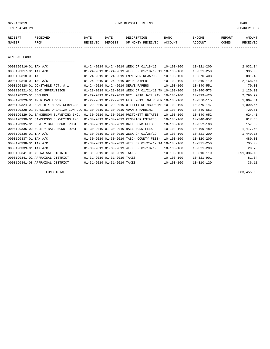02/01/2019 FUND DEPOSIT LISTING PAGE 3

| RECEIPT | RECEIVED | DATE     | DATE    | DESCRIPTION               | <b>BANK</b> | <b>INCOME</b> | <b>REPORT</b> | <b>AMOUNT</b> |
|---------|----------|----------|---------|---------------------------|-------------|---------------|---------------|---------------|
| NUMBER  | FROM     | RECEIVED | DEPOSIT | OF MONEY RECEIVED ACCOUNT |             | ACCOUNT       | <b>CODES</b>  | RECEIVED      |
|         |          |          |         |                           |             |               |               |               |

GENERAL FUND

| ===================================                                          |                             |                                                      |                  |                  |            |
|------------------------------------------------------------------------------|-----------------------------|------------------------------------------------------|------------------|------------------|------------|
| 0000190316-01 TAX A/C                                                        |                             | 01-24-2019 01-24-2019 WEEK OF 01/18/19               | $10 - 103 - 100$ | $10 - 321 - 200$ | 2,032.34   |
| 0000190317-01 TAX A/C                                                        |                             | 01-24-2019 01-24-2019 WEEK OF 01/18/19 19 10-103-100 |                  | $10 - 321 - 250$ | 995.00     |
| 0000190318-01 TAC                                                            |                             | 01-24-2019 01-24-2019 EMPLOYER REWARDS -             | $10 - 103 - 100$ | $10 - 370 - 408$ | 881.48     |
| 0000190319-01 TAC A/C                                                        |                             | 01-24-2019 01-24-2019 OVER PAYMENT                   | $10 - 103 - 100$ | $10 - 310 - 110$ | 2,168.64   |
| 0000190320-01 CONSTABLE PCT. # 1                                             |                             | 01-24-2019 01-24-2019 SERVE PAPERS                   | $10 - 103 - 100$ | $10 - 340 - 551$ | 70.00      |
| 0000190321-01 BOND SUPERVISION                                               |                             | 01-28-2019 01-28-2019 WEEK OF 01/21/19 TH 10-103-100 |                  | $10 - 340 - 573$ | 1,120.00   |
| 0000190322-01 SECURUS                                                        |                             | 01-29-2019 01-29-2019 DEC. 2018 JAIL PAY             | $10 - 103 - 100$ | $10 - 319 - 420$ | 2,790.92   |
| 0000190323-01 AMERICAN TOWER                                                 |                             | 01-29-2019 01-29-2019 FEB. 2019 TOWER REN 10-103-100 |                  | $10 - 370 - 115$ | 1,064.61   |
| 0000190324-01 HEALTH & HUMAN SERVICES                                        |                             | 01-29-2019 01-29-2019 UTILITY REIMBURSEME 10-103-100 |                  | $10 - 370 - 147$ | 1,090.66   |
| 0000190328-01 BURNSIDE ORGANIZATION LLC 01-30-2019 01-30-2019 ADAM & HARDING |                             |                                                      | $10 - 103 - 100$ | $10 - 340 - 652$ | 720.01     |
| 0000190329-01 SANDERSON SURVEYING INC.                                       |                             | 01-30-2019 01-30-2019 PRITCHETT ESTATES              | $10 - 103 - 100$ | $10 - 340 - 652$ | 624.41     |
| 0000190330-01 SANDERSON SURVEYING INC.                                       |                             | 01-30-2019 01-30-2019 KENDRICK ESTATES               | $10 - 103 - 100$ | $10 - 340 - 652$ | 617.65     |
| 0000190335-01 SURETY BAIL BOND TRUST                                         |                             | 01-30-2019 01-30-2019 BAIL BOND FEES                 | $10 - 103 - 100$ | $10 - 352 - 100$ | 157.50     |
| 0000190335-02 SURETY BAIL BOND TRUST                                         |                             | 01-30-2019 01-30-2019 BAIL BOND FEES                 | $10 - 103 - 100$ | $10 - 409 - 489$ | 1,417.50   |
| 0000190336-01 TAX A/C                                                        |                             | 01-30-2019 01-30-2019 WEEK OF 01/25/19               | $10 - 103 - 100$ | $10 - 321 - 200$ | 1,449.15   |
| 0000190337-01 TAX A/C                                                        |                             | 01-30-2019 01-30-2019 TABC- COUNTY FEES-             | $10 - 103 - 100$ | $10 - 320 - 200$ | 480.00     |
| 0000190338-01 TAX A/C                                                        |                             | 01-30-2019 01-30-2019 WEEK OF 01/25/19 14 10-103-100 |                  | $10 - 321 - 250$ | 705.00     |
| 0000190339-01 TAX A/C                                                        |                             | 01-30-2019 01-30-2019 WEEK OF 01/18/19               | $10 - 103 - 100$ | $10 - 321 - 200$ | 20.70      |
| 0000190341-01 APPRAISAL DISTRICT                                             | 01-31-2019 01-31-2019 TAXES |                                                      | $10 - 103 - 100$ | $10 - 310 - 110$ | 691,386.13 |
| 0000190341-02 APPRAISAL DISTRICT                                             | 01-31-2019 01-31-2019 TAXES |                                                      | $10 - 103 - 100$ | $10 - 321 - 901$ | 81.64      |
| 0000190341-08 APPRAISAL DISTRICT                                             | 01-31-2019 01-31-2019 TAXES |                                                      | $10 - 103 - 100$ | $10 - 310 - 120$ | 36.11      |

FUND TOTAL 3,303,455.66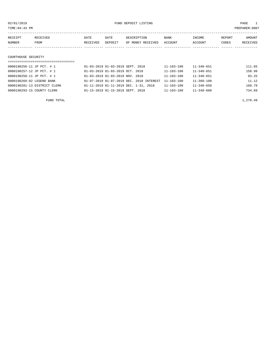02/01/2019 FUND DEPOSIT LISTING PAGE 1

| RECEIPT | RECEIVED | DATE     | DATE    | DESCRIPTION       | BANK    | INCOME  | REPORT | <b>AMOUNT</b> |
|---------|----------|----------|---------|-------------------|---------|---------|--------|---------------|
| NUMBER  | FROM     | RECEIVED | DEPOSIT | OF MONEY RECEIVED | ACCOUNT | ACCOUNT | CODES  | RECEIVED      |
|         |          |          |         |                   |         |         |        |               |
|         |          |          |         |                   |         |         |        |               |

#### COURTHOUSE SECURITY

| 0000190256-11 JP PCT. # 1    | 01-03-2019 01-03-2019 SEPT. 2018         | $11 - 103 - 100$ | $11 - 340 - 651$ | 111.65 |
|------------------------------|------------------------------------------|------------------|------------------|--------|
| 0000190257-12 JP PCT. # 1    | 01-03-2019 01-03-2019 OCT. 2018          | 11-103-100       | $11 - 340 - 651$ | 158.99 |
| 0000190258-11 JP PCT. # 1    | 01-03-2019 01-03-2019 NOV. 2018          | 11-103-100       | $11 - 340 - 651$ | 93.25  |
| 0000190269-02 LEGEND BANK    | 01-07-2019 01-07-2019 DEC. 2018 INTEREST | $11 - 103 - 100$ | 11-360-100       | 11.12  |
| 0000190281-13 DISTRICT CLERK | 01-11-2019 01-11-2019 DEC. 1-31, 2018    | 11-103-100       | $11 - 340 - 650$ | 160.79 |
| 0000190293-15 COUNTY CLERK   | 01-15-2019 01-15-2019 SEPT. 2018         | 11-103-100       | $11 - 340 - 600$ | 734.69 |
|                              |                                          |                  |                  |        |

FUND TOTAL  $1,270.49$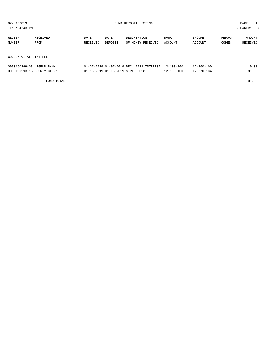| TIME:04:43 PM         |          |          |         |                   |             |         |        | PREPARER:0007 |
|-----------------------|----------|----------|---------|-------------------|-------------|---------|--------|---------------|
|                       |          |          |         |                   |             |         |        |               |
| RECEIPT               | RECEIVED | DATE     | DATE    | DESCRIPTION       | <b>BANK</b> | INCOME  | REPORT | AMOUNT        |
| NUMBER                | FROM     | RECEIVED | DEPOSIT | OF MONEY RECEIVED | ACCOUNT     | ACCOUNT | CODES  | RECEIVED      |
|                       |          |          |         |                   |             |         |        |               |
|                       |          |          |         |                   |             |         |        |               |
| CO.CLK.VITAL STAT.FEE |          |          |         |                   |             |         |        |               |
|                       |          |          |         |                   |             |         |        |               |

| 0000190269-03 LEGEND BANK  | $01-07-2019$ $01-07-2019$ DEC, $2018$ INTEREST $12-103-100$ |            | 12-360-100       | 0.38  |
|----------------------------|-------------------------------------------------------------|------------|------------------|-------|
| 0000190293-16 COUNTY CLERK | 01-15-2019 01-15-2019 SEPT. 2018                            | 12-103-100 | $12 - 370 - 134$ | 81.00 |

FUND TOTAL 81.38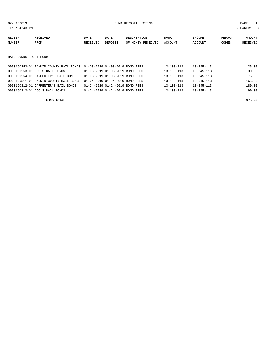02/01/2019 FUND DEPOSIT LISTING PAGE 1

| RECEIPT | RECEIVED              | DATE     | DATE    | DESCRIPTION       | BANK    | INCOME  | REPORT | AMOUNT   |  |  |  |  |
|---------|-----------------------|----------|---------|-------------------|---------|---------|--------|----------|--|--|--|--|
| NUMBER  | FROM                  | RECEIVED | DEPOSIT | OF MONEY RECEIVED | ACCOUNT | ACCOUNT | CODES  | RECEIVED |  |  |  |  |
|         |                       |          |         |                   |         |         |        |          |  |  |  |  |
|         |                       |          |         |                   |         |         |        |          |  |  |  |  |
|         | BAIL BONDS TRUST FUND |          |         |                   |         |         |        |          |  |  |  |  |
|         |                       |          |         |                   |         |         |        |          |  |  |  |  |

| 0000190252-01 FANNIN COUNTY BAIL BONDS  01-03-2019  01-03-2019  BOND FEES |                                 | $13 - 103 - 113$ | $13 - 345 - 113$ | 135.00 |
|---------------------------------------------------------------------------|---------------------------------|------------------|------------------|--------|
| 0000190253-01 DOC'S BAIL BONDS                                            | 01-03-2019 01-03-2019 BOND FEES | $13 - 103 - 113$ | $13 - 345 - 113$ | 30.00  |
| 0000190254-01 CARPENTER'S BAIL BONDS                                      | 01-03-2019 01-03-2019 BOND FEES | $13 - 103 - 113$ | $13 - 345 - 113$ | 75.00  |
| 0000190311-01 FANNIN COUNTY BAIL BONDS                                    | 01-24-2019 01-24-2019 BOND FEES | $13 - 103 - 113$ | $13 - 345 - 113$ | 165.00 |
| 0000190312-01 CARPENTER'S BAIL BONDS                                      | 01-24-2019 01-24-2019 BOND FEES | $13 - 103 - 113$ | $13 - 345 - 113$ | 180.00 |
| 0000190313-01 DOC'S BAIL BONDS                                            | 01-24-2019 01-24-2019 BOND FEES | $13 - 103 - 113$ | $13 - 345 - 113$ | 90.00  |

FUND TOTAL 675.00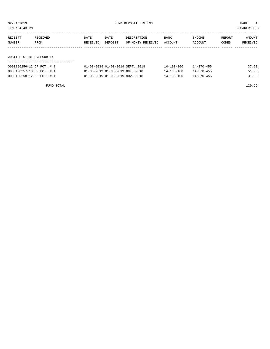TIME:04:43 PM PREPARER:0007

| RECEIPT                  | RECEIVED | DATE     | DATE    | DESCRIPTION       | <b>BANK</b> | INCOME  | REPORT | AMOUNT   |
|--------------------------|----------|----------|---------|-------------------|-------------|---------|--------|----------|
| NUMBER                   | FROM     | RECEIVED | DEPOSIT | OF MONEY RECEIVED | ACCOUNT     | ACCOUNT | CODES  | RECEIVED |
|                          |          |          |         |                   |             |         |        |          |
|                          |          |          |         |                   |             |         |        |          |
| JUSTICE CT.BLDG.SECURITY |          |          |         |                   |             |         |        |          |

#### ===================================

| 0000190256-12 JP PCT. # 1 | 01-03-2019 01-03-2019 SEPT. 2018            | 14-103-100       | 14-370-455       | 37.22 |
|---------------------------|---------------------------------------------|------------------|------------------|-------|
| 0000190257-13 JP PCT. # 1 | 01-03-2019 01-03-2019 OCT. 2018             | $14 - 103 - 100$ | $14 - 370 - 455$ | 51.98 |
| 0000190258-12 JP PCT. # 1 | $01 - 03 - 2019$ $01 - 03 - 2019$ NOV. 2018 | $14 - 103 - 100$ | $14 - 370 - 455$ | 31.09 |

FUND TOTAL 120.29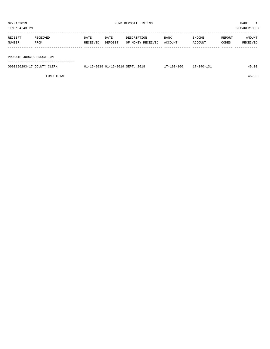| TIME:04:43 PM |                          |          |         |                   |             |         |        | PREPARER:0007 |  |
|---------------|--------------------------|----------|---------|-------------------|-------------|---------|--------|---------------|--|
| RECEIPT       | RECEIVED                 | DATE     | DATE    | DESCRIPTION       | <b>BANK</b> | INCOME  | REPORT | AMOUNT        |  |
| NUMBER        | FROM                     | RECEIVED | DEPOSIT | OF MONEY RECEIVED | ACCOUNT     | ACCOUNT | CODES  | RECEIVED      |  |
|               |                          |          |         |                   |             |         |        |               |  |
|               | PROBATE JUDGES EDUCATION |          |         |                   |             |         |        |               |  |
|               |                          |          |         |                   |             |         |        |               |  |

| 0000190293-17 COUNTY CLERK | 01-15-2019 01-15-2019 SEPT. 2018 | $17 - 103 - 100$ | $17 - 340 - 131$ | 45.00 |
|----------------------------|----------------------------------|------------------|------------------|-------|
|                            |                                  |                  |                  |       |

FUND TOTAL 45.00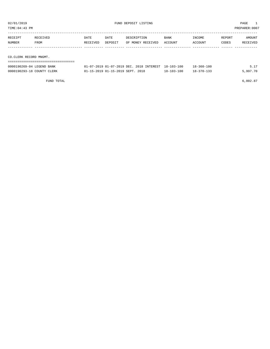| TIME:04:43 PM |                        |          |         |                   |             |         |        | PREPARER: 0007 |  |
|---------------|------------------------|----------|---------|-------------------|-------------|---------|--------|----------------|--|
| RECEIPT       | RECEIVED               | DATE     | DATE    | DESCRIPTION       | <b>BANK</b> | INCOME  | REPORT | AMOUNT         |  |
| NUMBER        | FROM                   | RECEIVED | DEPOSIT | OF MONEY RECEIVED | ACCOUNT     | ACCOUNT | CODES  | RECEIVED       |  |
|               |                        |          |         |                   |             |         |        |                |  |
|               |                        |          |         |                   |             |         |        |                |  |
|               | CO.CLERK RECORD MNGMT. |          |         |                   |             |         |        |                |  |
|               |                        |          |         |                   |             |         |        |                |  |

| 0000190269-04 LEGEND BANK  | 01-07-2019 01-07-2019 DEC. 2018 INTEREST 18-103-100 |                  | $18 - 360 - 100$ | 5.17     |
|----------------------------|-----------------------------------------------------|------------------|------------------|----------|
| 0000190293-18 COUNTY CLERK | 01-15-2019 01-15-2019 SEPT. 2018                    | $18 - 103 - 100$ | $18 - 370 - 133$ | 5,997.70 |

FUND TOTAL  $6,002.87$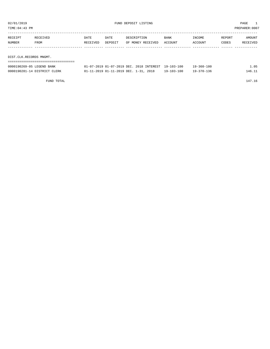| TIME: 04: 43 PM<br>PREPARER: 0007 |                         |                  |                 |                                  |                 |                   |                 |                    |  |
|-----------------------------------|-------------------------|------------------|-----------------|----------------------------------|-----------------|-------------------|-----------------|--------------------|--|
| RECEIPT<br>NUMBER                 | RECEIVED<br>FROM        | DATE<br>RECEIVED | DATE<br>DEPOSIT | DESCRIPTION<br>OF MONEY RECEIVED | BANK<br>ACCOUNT | INCOME<br>ACCOUNT | REPORT<br>CODES | AMOUNT<br>RECEIVED |  |
|                                   |                         |                  |                 |                                  |                 |                   |                 |                    |  |
|                                   | DIST.CLK.RECORDS MNGMT. |                  |                 |                                  |                 |                   |                 |                    |  |
|                                   |                         |                  |                 |                                  |                 |                   |                 |                    |  |

| 0000190269-05 LEGEND BANK    | 01-07-2019 01-07-2019 DEC, 2018 INTEREST 19-103-100 |                  | $19 - 360 - 100$ | .05    |
|------------------------------|-----------------------------------------------------|------------------|------------------|--------|
| 0000190281-14 DISTRICT CLERK | 01-11-2019 01-11-2019 DEC. 1-31, 2018               | $19 - 103 - 100$ | $19 - 370 - 136$ | 146.11 |

FUND TOTAL 147.16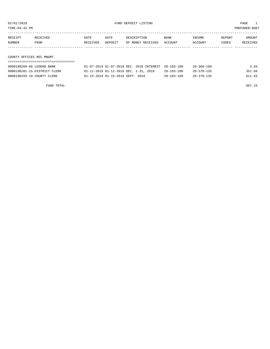| TIME: 04: 43 PM           |                              |          |                                          |             |                   |                  |                  |        | PREPARER:0007             |
|---------------------------|------------------------------|----------|------------------------------------------|-------------|-------------------|------------------|------------------|--------|---------------------------|
| RECEIPT                   | RECEIVED                     | DATE     | DATE                                     | DESCRIPTION | OF MONEY RECEIVED | BANK<br>ACCOUNT  | INCOME           | REPORT | AMOUNT<br><b>RECEIVED</b> |
| NUMBER                    | FROM                         | RECEIVED | DEPOSIT                                  |             |                   |                  | ACCOUNT          | CODES  |                           |
| COUNTY OFFICES REC.MNGMT. |                              |          |                                          |             |                   |                  |                  |        |                           |
|                           |                              |          |                                          |             |                   |                  |                  |        |                           |
| 0000190269-06 LEGEND BANK |                              |          | 01-07-2019 01-07-2019 DEC. 2018 INTEREST |             |                   | $20 - 103 - 100$ | $20 - 360 - 100$ |        | 3.93                      |
|                           | 0000190281-15 DISTRICT CLERK |          | 01-11-2019 01-11-2019 DEC. 1-31, 2018    |             |                   | $20 - 103 - 100$ | $20 - 370 - 135$ |        | 351.68                    |

0000190293-19 COUNTY CLERK 01-15-2019 01-15-2019 SEPT. 2018 20-103-100 20-370-135 611.63

FUND TOTAL 967.24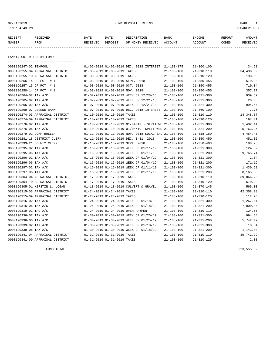#### 02/01/2019 FUND DEPOSIT LISTING PAGE 1

| RECEIPT | <b>RECEIVED</b> | DATE     | DATE    | DESCRIPTION          | <b>BANK</b>    | INCOME  | <b>REPORT</b> | AMOUNT          |
|---------|-----------------|----------|---------|----------------------|----------------|---------|---------------|-----------------|
| NUMBER  | FROM            | RECEIVED | DEPOSIT | RECEIVED<br>OF MONEY | <b>ACCOUNT</b> | ACCOUNT | CODES         | <b>RECEIVED</b> |
|         |                 |          |         |                      |                |         |               |                 |

FANNIN CO. R & B #1 FUND

| ==================================== |                                 |                             |                                                            |                  |                  |            |
|--------------------------------------|---------------------------------|-----------------------------|------------------------------------------------------------|------------------|------------------|------------|
| 0000190247-02 TEXPOOL                |                                 |                             | 01-02-2019 01-02-2019 DEC. 2018 INTEREST 21-103-175        |                  | $21 - 360 - 100$ | 34.61      |
| 0000190255-04 APPRAISAL DISTRICT     | 01-03-2019 01-03-2019 TAXES     |                             |                                                            | $21 - 103 - 100$ | $21 - 310 - 110$ | 34,438.89  |
| 0000190255-10 APPRAISAL DISTRICT     | 01-03-2019 01-03-2019 TAXES     |                             |                                                            | $21 - 103 - 100$ | $21 - 310 - 120$ | 198.89     |
| 0000190256-14 JP PCT. # 1            |                                 |                             | 01-03-2019 01-03-2019 SEPT. 2018                           | $21 - 103 - 100$ | $21 - 350 - 455$ | 579.93     |
| 0000190257-15 JP PCT. # 1            | 01-03-2019 01-03-2019 OCT. 2018 |                             |                                                            | $21 - 103 - 100$ | $21 - 350 - 455$ | 710.04     |
| 0000190258-14 JP PCT. # 1            | 01-03-2019 01-03-2019 NOV. 2018 |                             |                                                            | $21 - 103 - 100$ | $21 - 350 - 455$ | 357.77     |
| 0000190264-02 TAX A/C                |                                 |                             | 01-07-2019 01-07-2019 WEEK OF 12/28/18                     | $21 - 103 - 100$ | $21 - 321 - 300$ | 939.52     |
| 0000190265-02 TAX A/C                |                                 |                             | 01-07-2019 01-07-2019 WEEK OF 12/21/18                     | $21 - 103 - 100$ | $21 - 321 - 300$ | 20.38      |
| 0000190266-02 TAX A/C                |                                 |                             | 01-07-2019 01-07-2019 WEEK OF 12/21/18                     | $21 - 103 - 100$ | $21 - 321 - 300$ | 994.54     |
| 0000190269-07 LEGEND BANK            |                                 |                             | 01-07-2019 01-07-2019 DEC. 2018 INTEREST 21-103-100        |                  | $21 - 360 - 100$ | 7.76       |
| 0000190274-03 APPRAISAL DISTRICT     | 01-10-2019 01-10-2019 TAXES     |                             |                                                            | $21 - 103 - 100$ | $21 - 310 - 110$ | 14,348.87  |
| 0000190274-09 APPRAISAL DISTRICT     | 01-10-2019 01-10-2019 TAXES     |                             |                                                            | $21 - 103 - 100$ | $21 - 310 - 120$ | 197.01     |
| 0000190276-02 TAX A/C                |                                 |                             | $01-10-2019$ $01-10-2019$ $01/04/19$ - SLPIT WE 21-103-100 |                  | $21 - 321 - 300$ | 1,402.14   |
| 0000190276-06 TAX A/C                |                                 |                             | 01-10-2019 01-10-2019 01/04/19- SPLIT WEE 21-103-100       |                  | $21 - 321 - 200$ | 5,763.95   |
| 0000190279-02 COMPTROLLER            |                                 |                             | 01-11-2019 01-11-2019 NOV. 2018 LOCAL SAL 21-103-100       |                  | $21 - 318 - 160$ | 4,454.45   |
| 0000190281-18 DISTRICT CLERK         |                                 |                             | 01-11-2019 01-11-2019 DEC. 1-31, 2018                      | $21 - 103 - 100$ | $21 - 350 - 450$ | 451.02     |
| 0000190293-21 COUNTY CLERK           |                                 |                             | 01-15-2019 01-15-2019 SEPT. 2018                           | $21 - 103 - 100$ | $21 - 350 - 403$ | 188.25     |
| 0000190295-02 TAX A/C                |                                 |                             | 01-16-2019 01-16-2019 WEEK OF 01/11/19                     | $21 - 103 - 100$ | $21 - 321 - 300$ | 124.32     |
| 0000190295-06 TAX A/C                |                                 |                             | 01-16-2019 01-16-2019 WEEK OF 01/11/19                     | $21 - 103 - 100$ | $21 - 321 - 200$ | 9,765.71   |
| 0000190296-02 TAX A/C                |                                 |                             | 01-16-2019 01-16-2019 WEEK OF 01/04/19                     | $21 - 103 - 100$ | $21 - 321 - 300$ | 2.04       |
| 0000190296-06 TAX A/C                |                                 |                             | 01-16-2019 01-16-2019 WEEK OF 01/04/19                     | $21 - 103 - 100$ | $21 - 321 - 200$ | 171.19     |
| 0000190297-02 TAX A/C                |                                 |                             | 01-16-2019 01-16-2019 WEEK OF 01/11/19                     | $21 - 103 - 100$ | $21 - 321 - 300$ | 1,430.68   |
| 0000190297-06 TAX A/C                |                                 |                             | 01-16-2019 01-16-2019 WEEK OF 01/11/19                     | $21 - 103 - 100$ | $21 - 321 - 200$ | 8,165.38   |
| 0000190304-04 APPRAISAL DISTRICT     |                                 | 01-17-2019 01-17-2019 TAXES |                                                            | $21 - 103 - 100$ | $21 - 310 - 110$ | 39,066.25  |
| 0000190304-10 APPRAISAL DISTRICT     |                                 | 01-17-2019 01-17-2019 TAXES |                                                            | $21 - 103 - 100$ | $21 - 310 - 120$ | 670.22     |
| 0000190305-01 KIRSTIN L. LOGAN       |                                 |                             | 01-18-2019 01-18-2019 CULVERT & GRAVEL                     | $21 - 103 - 100$ | $21 - 370 - 145$ | 565.00     |
| 0000190315-03 APPRAISAL DISTRICT     | 01-24-2019 01-24-2019 TAXES     |                             |                                                            | $21 - 103 - 100$ | $21 - 310 - 110$ | 42, 358.28 |
| 0000190315-09 APPRAISAL DISTRICT     | 01-24-2019 01-24-2019 TAXES     |                             |                                                            | $21 - 103 - 100$ | $21 - 310 - 120$ | 112.26     |
| 0000190316-02 TAX A/C                |                                 |                             | 01-24-2019 01-24-2019 WEEK OF 01/18/19                     | $21 - 103 - 100$ | $21 - 321 - 300$ | 1,267.64   |
| 0000190316-06 TAX A/C                |                                 |                             | 01-24-2019 01-24-2019 WEEK OF 01/18/19                     | $21 - 103 - 100$ | $21 - 321 - 200$ | 7,000.34   |
| 0000190319-02 TAC A/C                |                                 |                             | 01-24-2019 01-24-2019 OVER PAYMENT                         | $21 - 103 - 100$ | $21 - 310 - 110$ | 124.65     |
| 0000190336-02 TAX A/C                |                                 |                             | 01-30-2019 01-30-2019 WEEK OF 01/25/19                     | $21 - 103 - 100$ | $21 - 321 - 300$ | 994.54     |
| 0000190336-06 TAX A/C                |                                 |                             | 01-30-2019 01-30-2019 WEEK OF 01/25/19                     | $21 - 103 - 100$ | $21 - 321 - 200$ | 5,742.49   |
| 0000190339-02 TAX A/C                |                                 |                             | 01-30-2019 01-30-2019 WEEK OF 01/18/19                     | $21 - 103 - 100$ | $21 - 321 - 300$ | 18.34      |
| 0000190339-06 TAX A/C                |                                 |                             | 01-30-2019 01-30-2019 WEEK OF 01/18/19                     | $21 - 103 - 100$ | $21 - 321 - 200$ | 1,143.80   |
| 0000190341-04 APPRAISAL DISTRICT     | 01-31-2019 01-31-2019 TAXES     |                             |                                                            | $21 - 103 - 100$ | $21 - 310 - 110$ | 39,742.29  |
| 0000190341-09 APPRAISAL DISTRICT     |                                 | 01-31-2019 01-31-2019 TAXES |                                                            | $21 - 103 - 100$ | $21 - 310 - 120$ | 2.08       |

FUND TOTAL 223,555.52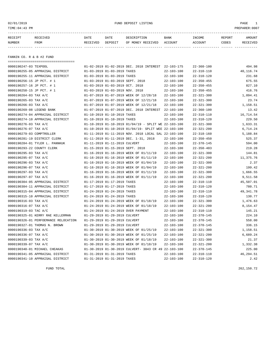02/01/2019 FUND DEPOSIT LISTING PAGE 1

| RECEIPT | <b>RECEIVED</b> | DATE     | DATE    | DESCRIPTION          | <b>BANK</b>    | INCOME  | <b>REPORT</b> | AMOUNT          |
|---------|-----------------|----------|---------|----------------------|----------------|---------|---------------|-----------------|
| NUMBER  | FROM            | RECEIVED | DEPOSIT | RECEIVED<br>OF MONEY | <b>ACCOUNT</b> | ACCOUNT | CODES         | <b>RECEIVED</b> |
|         |                 |          |         |                      |                |         |               |                 |

FANNIN CO. R & B #2 FUND

| ====================================== |                                                            |                  |                  |           |
|----------------------------------------|------------------------------------------------------------|------------------|------------------|-----------|
| 0000190247-03 TEXPOOL                  | 01-02-2019 01-02-2019 DEC. 2018 INTEREST 22-103-175        |                  | $22 - 360 - 100$ | 494.98    |
| 0000190255-05 APPRAISAL DISTRICT       | 01-03-2019 01-03-2019 TAXES                                | $22 - 103 - 100$ | $22 - 310 - 110$ | 40,116.74 |
| 0000190255-11 APPRAISAL DISTRICT       | 01-03-2019 01-03-2019 TAXES                                | $22 - 103 - 100$ | $22 - 310 - 120$ | 231.68    |
| 0000190256-15 JP PCT. # 1              | 01-03-2019 01-03-2019 SEPT. 2018                           | $22 - 103 - 100$ | $22 - 350 - 455$ | 675.55    |
| 0000190257-16 JP PCT. # 1              | 01-03-2019 01-03-2019 OCT. 2018                            | $22 - 103 - 100$ | $22 - 350 - 455$ | 827.10    |
| 0000190258-15 JP PCT. # 1              | 01-03-2019 01-03-2019 NOV. 2018                            | $22 - 103 - 100$ | $22 - 350 - 455$ | 416.76    |
| 0000190264-03 TAX A/C                  | 01-07-2019 01-07-2019 WEEK OF 12/28/18                     | $22 - 103 - 100$ | $22 - 321 - 300$ | 1,094.41  |
| 0000190265-03 TAX A/C                  | 01-07-2019 01-07-2019 WEEK OF 12/21/18                     | $22 - 103 - 100$ | $22 - 321 - 300$ | 23.74     |
| 0000190266-03 TAX A/C                  | 01-07-2019 01-07-2019 WEEK OF 12/21/18                     | $22 - 103 - 100$ | $22 - 321 - 300$ | 1,158.51  |
| 0000190269-08 LEGEND BANK              | 01-07-2019 01-07-2019 DEC. 2018 INTEREST 22-103-100        |                  | $22 - 360 - 100$ | 13.42     |
| 0000190274-04 APPRAISAL DISTRICT       | 01-10-2019 01-10-2019 TAXES                                | $22 - 103 - 100$ | $22 - 310 - 110$ | 16,714.54 |
| 0000190274-10 APPRAISAL DISTRICT       | 01-10-2019 01-10-2019 TAXES                                | $22 - 103 - 100$ | $22 - 310 - 120$ | 229.50    |
| 0000190276-03 TAX A/C                  | $01-10-2019$ $01-10-2019$ $01/04/19$ - SPLIT WE 22-103-100 |                  | $22 - 321 - 300$ | 1,633.31  |
| 0000190276-07 TAX A/C                  | 01-10-2019 01-10-2019 01/04/19- SPLIT WEE 22-103-100       |                  | $22 - 321 - 200$ | 6,714.24  |
| 0000190279-03 COMPTROLLER              | 01-11-2019 01-11-2019 NOV. 2018 LOCAL SAL 22-103-100       |                  | $22 - 318 - 160$ | 5,188.84  |
| 0000190281-19 DISTRICT CLERK           | 01-11-2019 01-11-2019 DEC. 1-31, 2018                      | $22 - 103 - 100$ | $22 - 350 - 450$ | 525.37    |
| 0000190284-01 TYLER L. PANNKUK         | 01-11-2019 01-11-2019 CULVERT                              | $22 - 103 - 100$ | $22 - 370 - 145$ | 594.00    |
| 0000190293-22 COUNTY CLERK             | 01-15-2019 01-15-2019 SEPT. 2018                           | $22 - 103 - 100$ | $22 - 350 - 403$ | 219.28    |
| 0000190295-03 TAX A/C                  | 01-16-2019 01-16-2019 WEEK OF 01/11/19                     | $22 - 103 - 100$ | $22 - 321 - 300$ | 144.81    |
| 0000190295-07 TAX A/C                  | 01-16-2019 01-16-2019 WEEK OF 01/11/19                     | $22 - 103 - 100$ | $22 - 321 - 200$ | 11,375.76 |
| 0000190296-03 TAX A/C                  | 01-16-2019 01-16-2019 WEEK OF 01/04/19                     | $22 - 103 - 100$ | $22 - 321 - 300$ | 2.37      |
| 0000190296-07 TAX A/C                  | 01-16-2019 01-16-2019 WEEK OF 01/04/19                     | $22 - 103 - 100$ | $22 - 321 - 200$ | 199.42    |
| 0000190297-03 TAX A/C                  | 01-16-2019 01-16-2019 WEEK OF 01/11/19                     | $22 - 103 - 100$ | $22 - 321 - 300$ | 1,666.55  |
| 0000190297-07 TAX A/C                  | 01-16-2019 01-16-2019 WEEK OF 01/11/19                     | $22 - 103 - 100$ | $22 - 321 - 200$ | 9,511.58  |
| 0000190304-05 APPRAISAL DISTRICT       | 01-17-2019 01-17-2019 TAXES                                | $22 - 103 - 100$ | $22 - 310 - 110$ | 45,507.01 |
| 0000190304-11 APPRAISAL DISTRICT       | 01-17-2019 01-17-2019 TAXES                                | $22 - 103 - 100$ | $22 - 310 - 120$ | 780.71    |
| 0000190315-04 APPRAISAL DISTRICT       | 01-24-2019 01-24-2019 TAXES                                | $22 - 103 - 100$ | $22 - 310 - 110$ | 49,341.78 |
| 0000190315-10 APPRAISAL DISTRICT       | 01-24-2019 01-24-2019 TAXES                                | $22 - 103 - 100$ | $22 - 310 - 120$ | 130.77    |
| 0000190316-03 TAX A/C                  | 01-24-2019 01-24-2019 WEEK OF 01/18/19                     | $22 - 103 - 100$ | $22 - 321 - 300$ | 1,476.63  |
| 0000190316-07 TAX A/C                  | 01-24-2019 01-24-2019 WEEK OF 01/18/19                     | $22 - 103 - 100$ | $22 - 321 - 200$ | 8,154.47  |
| 0000190319-03 TAC A/C                  | 01-24-2019 01-24-2019 OVER PAYMENT                         | $22 - 103 - 100$ | $22 - 310 - 110$ | 145.21    |
| 0000190325-01 KERRY RAE KELLERMAN      | 01-29-2019 01-29-2019 CULVERT                              | $22 - 103 - 100$ | $22 - 370 - 145$ | 224.10    |
| 0000190326-01 PERFOEMANCE RELOCATION   | 01-29-2019 01-29-2019 CULVERT                              | $22 - 103 - 100$ | $22 - 370 - 145$ | 558.00    |
| 0000190327-01 THOMAS N. BROWN          | 01-29-2019 01-29-2019 CULVERT                              | $22 - 103 - 100$ | $22 - 370 - 145$ | 336.15    |
| 0000190336-03 TAX A/C                  | 01-30-2019 01-30-2019 WEEK OF 01/25/19                     | $22 - 103 - 100$ | $22 - 321 - 300$ | 1,158.51  |
| 0000190336-07 TAX A/C                  | 01-30-2019 01-30-2019 WEEK OF 01/25/19                     | $22 - 103 - 100$ | $22 - 321 - 200$ | 6,689.24  |
| 0000190339-03 TAX A/C                  | 01-30-2019 01-30-2019 WEEK OF 01/18/19                     | $22 - 103 - 100$ | $22 - 321 - 300$ | 21.37     |
| 0000190339-07 TAX A/C                  | 01-30-2019 01-30-2019 WEEK OF 01/18/19                     | $22 - 103 - 100$ | $22 - 321 - 200$ | 1,332.38  |
| 0000190340-01 MICHAEL CHEAKAS          | 01-30-2019 01-30-2019 CULVERT- 3043 CR 49 22-103-100       |                  | $22 - 370 - 145$ | 225.00    |
| 0000190341-05 APPRAISAL DISTRICT       | 01-31-2019 01-31-2019 TAXES                                | $22 - 103 - 100$ | $22 - 310 - 110$ | 46,294.51 |
| 0000190341-10 APPRAISAL DISTRICT       | 01-31-2019 01-31-2019 TAXES                                | $22 - 103 - 100$ | $22 - 310 - 120$ | 2.42      |

FUND TOTAL 262,150.72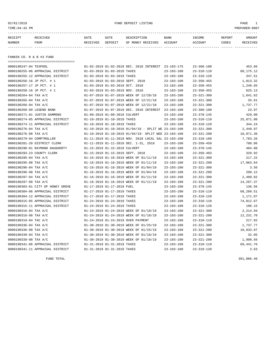02/01/2019 FUND DEPOSIT LISTING PAGE 1

| RECEIPT | <b>RECEIVED</b> | DATE     | DATE    | DESCRIPTION          | <b>BANK</b>    | INCOME  | <b>REPORT</b> | AMOUNT          |
|---------|-----------------|----------|---------|----------------------|----------------|---------|---------------|-----------------|
| NUMBER  | FROM            | RECEIVED | DEPOSIT | RECEIVED<br>OF MONEY | <b>ACCOUNT</b> | ACCOUNT | CODES         | <b>RECEIVED</b> |
|         |                 |          |         |                      |                |         |               |                 |

FANNIN CO. R & B #3 FUND

| ===================================== |                                  |                                                            |                  |                  |            |
|---------------------------------------|----------------------------------|------------------------------------------------------------|------------------|------------------|------------|
| 0000190247-04 TEXPOOL                 |                                  | 01-02-2019 01-02-2019 DEC. 2018 INTEREST 23-103-175        |                  | $23 - 360 - 100$ | 453.66     |
| 0000190255-06 APPRAISAL DISTRICT      | 01-03-2019 01-03-2019 TAXES      |                                                            | $23 - 103 - 100$ | $23 - 310 - 110$ | 60,175.12  |
| 0000190255-12 APPRAISAL DISTRICT      | 01-03-2019 01-03-2019 TAXES      |                                                            | $23 - 103 - 100$ | $23 - 310 - 120$ | 347.51     |
| 0000190256-16 JP PCT. # 1             | 01-03-2019 01-03-2019 SEPT. 2018 |                                                            | $23 - 103 - 100$ | $23 - 350 - 455$ | 1,013.32   |
| 0000190257-17 JP PCT. # 1             | 01-03-2019 01-03-2019 OCT. 2018  |                                                            | $23 - 103 - 100$ | $23 - 350 - 455$ | 1,240.65   |
| 0000190258-16 JP PCT. # 1             | 01-03-2019 01-03-2019 NOV. 2018  |                                                            | $23 - 103 - 100$ | $23 - 350 - 455$ | 625.13     |
| 0000190264-04 TAX A/C                 |                                  | 01-07-2019 01-07-2019 WEEK OF 12/28/18                     | $23 - 103 - 100$ | $23 - 321 - 300$ | 1,641.62   |
| 0000190265-04 TAX A/C                 |                                  | 01-07-2019 01-07-2019 WEEK OF 12/21/18                     | $23 - 103 - 100$ | $23 - 321 - 300$ | 35.61      |
| 0000190266-04 TAX A/C                 |                                  | 01-07-2019 01-07-2019 WEEK OF 12/21/18                     | $23 - 103 - 100$ | $23 - 321 - 300$ | 1,737.77   |
| 0000190269-09 LEGEND BANK             |                                  | 01-07-2019 01-07-2019 DEC. 2018 INTEREST                   | 23-103-100       | $23 - 360 - 100$ | 23.97      |
| 0000190271-01 JUSTIN GAMMONS          | 01-09-2019 01-09-2019 CULVERT    |                                                            | $23 - 103 - 100$ | $23 - 370 - 145$ | 429.90     |
| 0000190274-05 APPRAISAL DISTRICT      | 01-10-2019 01-10-2019 TAXES      |                                                            | $23 - 103 - 100$ | $23 - 310 - 110$ | 25,071.80  |
| 0000190274-11 APPRAISAL DISTRICT      | 01-10-2019 01-10-2019 TAXES      |                                                            | $23 - 103 - 100$ | $23 - 310 - 120$ | 344.24     |
| 0000190276-04 TAX A/C                 |                                  | $01-10-2019$ $01-10-2019$ $01/04/19$ - SPLIT WE 23-103-100 |                  | $23 - 321 - 300$ | 2,449.97   |
| 0000190276-08 TAX A/C                 |                                  | 01-10-2019 01-10-2019 01/04/19- SPLIT WEE 23-103-100       |                  | $23 - 321 - 200$ | 10,071.36  |
| 0000190279-04 COMPTROLLER             |                                  | 01-11-2019 01-11-2019 NOV. 2018 LOCAL SAL 23-103-100       |                  | $23 - 318 - 160$ | 7,783.26   |
| 0000190281-20 DISTRICT CLERK          |                                  | 01-11-2019 01-11-2019 DEC. 1-31, 2018                      | $23 - 103 - 100$ | $23 - 350 - 450$ | 788.06     |
| 0000190290-01 RAYMOND DAUGHERTY       | 01-15-2019 01-15-2019 CULVERT    |                                                            | $23 - 103 - 100$ | $23 - 370 - 145$ | 484.80     |
| 0000190293-23 COUNTY CLERK            | 01-15-2019 01-15-2019 SEPT. 2018 |                                                            | $23 - 103 - 100$ | $23 - 350 - 403$ | 328.92     |
| 0000190295-04 TAX A/C                 |                                  | 01-16-2019 01-16-2019 WEEK OF 01/11/19                     | $23 - 103 - 100$ | $23 - 321 - 300$ | 217.22     |
| 0000190295-08 TAX A/C                 |                                  | 01-16-2019 01-16-2019 WEEK OF 01/11/19                     | $23 - 103 - 100$ | $23 - 321 - 200$ | 17,063.64  |
| 0000190296-04 TAX A/C                 |                                  | 01-16-2019 01-16-2019 WEEK OF 01/04/19                     | $23 - 103 - 100$ | $23 - 321 - 300$ | 3.56       |
| 0000190296-08 TAX A/C                 |                                  | 01-16-2019 01-16-2019 WEEK OF 01/04/19                     | $23 - 103 - 100$ | $23 - 321 - 200$ | 299.12     |
| 0000190297-04 TAX A/C                 |                                  | 01-16-2019 01-16-2019 WEEK OF 01/11/19                     | $23 - 103 - 100$ | $23 - 321 - 300$ | 2,499.82   |
| 0000190297-08 TAX A/C                 |                                  | 01-16-2019 01-16-2019 WEEK OF 01/11/19                     | $23 - 103 - 100$ | $23 - 321 - 200$ | 14,267.37  |
| 0000190303-01 CITY OF HONEY GROVE     | 01-17-2019 01-17-2019 FUEL       |                                                            | $23 - 103 - 100$ | $23 - 370 - 145$ | 136.56     |
| 0000190304-06 APPRAISAL DISTRICT      | 01-17-2019 01-17-2019 TAXES      |                                                            | $23 - 103 - 100$ | $23 - 310 - 110$ | 68,260.51  |
| 0000190304-12 APPRAISAL DISTRICT      | 01-17-2019 01-17-2019 TAXES      |                                                            | $23 - 103 - 100$ | $23 - 310 - 120$ | 1,171.07   |
| 0000190315-05 APPRAISAL DISTRICT      | 01-24-2019 01-24-2019 TAXES      |                                                            | $23 - 103 - 100$ | $23 - 310 - 110$ | 74,012.67  |
| 0000190315-11 APPRAISAL DISTRICT      | 01-24-2019 01-24-2019 TAXES      |                                                            | $23 - 103 - 100$ | $23 - 310 - 120$ | 196.15     |
| 0000190316-04 TAX A/C                 |                                  | 01-24-2019 01-24-2019 WEEK OF 01/18/19                     | $23 - 103 - 100$ | $23 - 321 - 300$ | 2,214.94   |
| 0000190316-08 TAX A/C                 |                                  | 01-24-2019 01-24-2019 WEEK OF 01/18/19                     | $23 - 103 - 100$ | $23 - 321 - 200$ | 12,231.70  |
| 0000190319-04 TAC A/C                 |                                  | 01-24-2019 01-24-2019 OVER PAYMENT                         | $23 - 103 - 100$ | $23 - 310 - 110$ | 217.82     |
| 0000190336-04 TAX A/C                 |                                  | 01-30-2019 01-30-2019 WEEK OF 01/25/19                     | $23 - 103 - 100$ | $23 - 321 - 300$ | 1,737.77   |
| 0000190336-08 TAX A/C                 |                                  | 01-30-2019 01-30-2019 WEEK OF 01/25/19                     | $23 - 103 - 100$ | $23 - 321 - 200$ | 10,033.87  |
| 0000190339-04 TAX A/C                 |                                  | 01-30-2019 01-30-2019 WEEK OF 01/18/19                     | $23 - 103 - 100$ | $23 - 321 - 300$ | 32.05      |
| 0000190339-08 TAX A/C                 |                                  | 01-30-2019 01-30-2019 WEEK OF 01/18/19                     | $23 - 103 - 100$ | $23 - 321 - 200$ | 1,998.56   |
| 0000190341-06 APPRAISAL DISTRICT      | 01-31-2019 01-31-2019 TAXES      |                                                            | $23 - 103 - 100$ | $23 - 310 - 110$ | 69, 441.76 |
| 0000190341-11 APPRAISAL DISTRICT      | 01-31-2019 01-31-2019 TAXES      |                                                            | $23 - 103 - 100$ | $23 - 310 - 120$ | 3.63       |

FUND TOTAL 391,086.46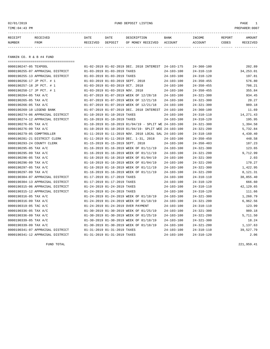#### 02/01/2019 FUND DEPOSIT LISTING PAGE 1

| RECEIPT | <b>RECEIVED</b> | DATE            | DATE    | DESCRIPTION       | <b>BANK</b> | <b>TNCOME</b> | REPORT | AMOUNT          |
|---------|-----------------|-----------------|---------|-------------------|-------------|---------------|--------|-----------------|
| NUMBER  | FROM            | <b>RECEIVED</b> | DEPOSIT | OF MONEY RECEIVED | ACCOUNT     | ACCOUNT       | CODES  | <b>RECEIVED</b> |
|         |                 |                 |         |                   |             |               |        |                 |

FANNIN CO. R & B #4 FUND

| ===================================== |                                                            |                  |                  |            |
|---------------------------------------|------------------------------------------------------------|------------------|------------------|------------|
| 0000190247-05 TEXPOOL                 | 01-02-2019 01-02-2019 DEC. 2018 INTEREST 24-103-175        |                  | $24 - 360 - 100$ | 202.89     |
| 0000190255-07 APPRAISAL DISTRICT      | 01-03-2019 01-03-2019 TAXES                                | $24 - 103 - 100$ | $24 - 310 - 110$ | 34, 253.01 |
| 0000190255-13 APPRAISAL DISTRICT      | 01-03-2019 01-03-2019 TAXES                                | $24 - 103 - 100$ | $24 - 310 - 120$ | 197.81     |
| 0000190256-17 JP PCT. # 1             | 01-03-2019 01-03-2019 SEPT. 2018                           | $24 - 103 - 100$ | $24 - 350 - 455$ | 576.80     |
| 0000190257-18 JP PCT. # 1             | 01-03-2019 01-03-2019 OCT. 2018                            | $24 - 103 - 100$ | $24 - 350 - 455$ | 706.21     |
| 0000190258-17 JP PCT. # 1             | 01-03-2019 01-03-2019 NOV. 2018                            | $24 - 103 - 100$ | $24 - 350 - 455$ | 355.84     |
| 0000190264-05 TAX A/C                 | 01-07-2019 01-07-2019 WEEK OF 12/28/18                     | $24 - 103 - 100$ | $24 - 321 - 300$ | 934.45     |
| 0000190265-05 TAX A/C                 | 01-07-2019 01-07-2019 WEEK OF 12/21/18                     | 24-103-100       | $24 - 321 - 300$ | 20.27      |
| 0000190266-05 TAX A/C                 | 01-07-2019 01-07-2019 WEEK OF 12/21/18                     | $24 - 103 - 100$ | $24 - 321 - 300$ | 989.18     |
| 0000190269-10 LEGEND BANK             | 01-07-2019 01-07-2019 DEC. 2018 INTEREST 24-103-100        |                  | $24 - 360 - 100$ | 11.69      |
| 0000190274-06 APPRAISAL DISTRICT      | 01-10-2019 01-10-2019 TAXES                                | $24 - 103 - 100$ | $24 - 310 - 110$ | 14, 271.43 |
| 0000190274-12 APPRAISAL DISTRICT      | 01-10-2019 01-10-2019 TAXES                                | $24 - 103 - 100$ | $24 - 310 - 120$ | 195.95     |
| 0000190276-05 TAX A/C                 | $01-10-2019$ $01-10-2019$ $01/04/19$ - SPLIT WE 24-103-100 |                  | $24 - 321 - 300$ | 1,394.58   |
| 0000190276-09 TAX A/C                 | 01-10-2019 01-10-2019 01/04/19- SPLIT WEE 24-103-100       |                  | $24 - 321 - 200$ | 5,732.84   |
| 0000190279-05 COMPTROLLER             | 01-11-2019 01-11-2019 NOV. 2018 LOCAL SAL 24-103-100       |                  | $24 - 318 - 160$ | 4,430.40   |
| 0000190281-21 DISTRICT CLERK          | 01-11-2019 01-11-2019 DEC. 1-31, 2018                      | $24 - 103 - 100$ | $24 - 350 - 450$ | 448.58     |
| 0000190293-24 COUNTY CLERK            | 01-15-2019 01-15-2019 SEPT. 2018                           | $24 - 103 - 100$ | $24 - 350 - 403$ | 187.23     |
| 0000190295-05 TAX A/C                 | 01-16-2019 01-16-2019 WEEK OF 01/11/19                     | $24 - 103 - 100$ | $24 - 321 - 300$ | 123.65     |
| 0000190295-09 TAX A/C                 | 01-16-2019 01-16-2019 WEEK OF 01/11/19                     | $24 - 103 - 100$ | $24 - 321 - 200$ | 9,712.99   |
| 0000190296-05 TAX A/C                 | 01-16-2019 01-16-2019 WEEK OF 01/04/19                     | $24 - 103 - 100$ | $24 - 321 - 300$ | 2.03       |
| 0000190296-09 TAX A/C                 | 01-16-2019 01-16-2019 WEEK OF 01/04/19                     | $24 - 103 - 100$ | $24 - 321 - 200$ | 170.27     |
| 0000190297-05 TAX A/C                 | 01-16-2019 01-16-2019 WEEK OF 01/11/19                     | $24 - 103 - 100$ | $24 - 321 - 300$ | 1,422.95   |
| 0000190297-09 TAX A/C                 | 01-16-2019 01-16-2019 WEEK OF 01/11/19                     | $24 - 103 - 100$ | $24 - 321 - 200$ | 8,121.31   |
| 0000190304-07 APPRAISAL DISTRICT      | 01-17-2019 01-17-2019 TAXES                                | $24 - 103 - 100$ | $24 - 310 - 110$ | 38,855.40  |
| 0000190304-13 APPRAISAL DISTRICT      | 01-17-2019 01-17-2019 TAXES                                | $24 - 103 - 100$ | $24 - 310 - 120$ | 666.60     |
| 0000190315-06 APPRAISAL DISTRICT      | 01-24-2019 01-24-2019 TAXES                                | $24 - 103 - 100$ | $24 - 310 - 110$ | 42, 129.65 |
| 0000190315-12 APPRAISAL DISTRICT      | 01-24-2019 01-24-2019 TAXES                                | $24 - 103 - 100$ | $24 - 310 - 120$ | 111.66     |
| 0000190316-05 TAX A/C                 | 01-24-2019 01-24-2019 WEEK OF 01/18/19                     | $24 - 103 - 100$ | $24 - 321 - 300$ | 1,260.79   |
| 0000190316-09 TAX A/C                 | 01-24-2019 01-24-2019 WEEK OF 01/18/19                     | 24-103-100       | $24 - 321 - 200$ | 6,962.56   |
| 0000190319-05 TAC A/C                 | 01-24-2019 01-24-2019 OVER PAYMENT                         | $24 - 103 - 100$ | $24 - 310 - 110$ | 123.99     |
| 0000190336-05 TAX A/C                 | 01-30-2019 01-30-2019 WEEK OF 01/25/19                     | $24 - 103 - 100$ | $24 - 321 - 300$ | 989.18     |
| 0000190336-09 TAX A/C                 | 01-30-2019 01-30-2019 WEEK OF 01/25/19                     | $24 - 103 - 100$ | $24 - 321 - 200$ | 5,711.50   |
| 0000190339-05 TAX A/C                 | 01-30-2019 01-30-2019 WEEK OF 01/18/19                     | $24 - 103 - 100$ | $24 - 321 - 300$ | 18.24      |
| 0000190339-09 TAX A/C                 | 01-30-2019 01-30-2019 WEEK OF 01/18/19                     | $24 - 103 - 100$ | $24 - 321 - 200$ | 1,137.63   |
| 0000190341-07 APPRAISAL DISTRICT      | 01-31-2019 01-31-2019 TAXES                                | $24 - 103 - 100$ | $24 - 310 - 110$ | 39,527.79  |
| 0000190341-12 APPRAISAL DISTRICT      | 01-31-2019 01-31-2019 TAXES                                | $24 - 103 - 100$ | $24 - 310 - 120$ | 2.06       |

FUND TOTAL 221,959.41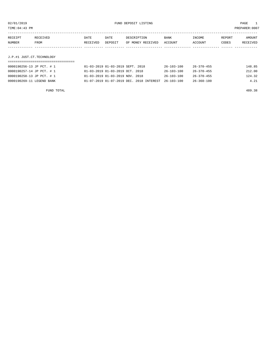TIME:04:43 PM PREPARER:0007

| RECEIPT | RECEIVED    | DATE     | DATE    | DESCRIPTION       | <b>BANK</b> | INCOME  | REPORT | AMOUNT   |
|---------|-------------|----------|---------|-------------------|-------------|---------|--------|----------|
| NUMBER  | <b>FROM</b> | RECEIVED | DEPOSIT | OF MONEY RECEIVED | ACCOUNT     | ACCOUNT | CODES  | RECEIVED |
|         |             |          |         |                   |             |         |        |          |
|         |             |          |         |                   |             |         |        |          |

### J.P.#1 JUST.CT.TECHNOLOGY

| 0000190256-13 JP PCT. # 1 | 01-03-2019 01-03-2019 SEPT. 2018         | 26-103-100       | 26-370-455       | 148.85 |
|---------------------------|------------------------------------------|------------------|------------------|--------|
| 0000190257-14 JP PCT. # 1 | 01-03-2019 01-03-2019 OCT. 2018          | $26 - 103 - 100$ | $26 - 370 - 455$ | 212.00 |
| 0000190258-13 JP PCT. # 1 | 01-03-2019 01-03-2019 NOV. 2018          | $26 - 103 - 100$ | $26 - 370 - 455$ | 124.32 |
| 0000190269-11 LEGEND BANK | 01-07-2019 01-07-2019 DEC. 2018 INTEREST | $26 - 103 - 100$ | $26 - 360 - 100$ | 4.21   |

FUND TOTAL 489.38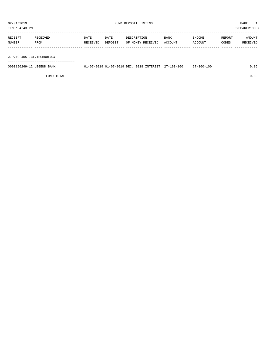TIME:04:43 PM PREPARER:0007

| RECEIPT | RECEIVED | DATE     | DATE    | DESCRIPTION       | <b>BANK</b> | INCOME  | REPORT | AMOUNT   |
|---------|----------|----------|---------|-------------------|-------------|---------|--------|----------|
| NUMBER  | FROM     | RECEIVED | DEPOSIT | OF MONEY RECEIVED | ACCOUNT     | ACCOUNT | CODES  | RECEIVED |
|         |          |          |         |                   |             |         |        |          |

J.P.#2 JUST.CT.TECHNOLOGY

===================================

| 0000190269-12 LEGEND BANK | $01-07-2019$ $01-07-2019$ DEC, $2018$ INTEREST $27-103-100$ |  | :7-360-100 | 86. ر |
|---------------------------|-------------------------------------------------------------|--|------------|-------|
|                           |                                                             |  |            |       |

FUND TOTAL 0.86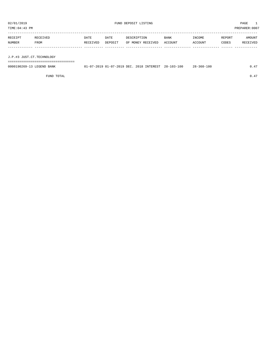TIME:04:43 PM PREPARER:0007

| RECEIPT | RECEIVED | DATE     | DATE    | DESCRIPTION       | BANK    | INCOME  | REPORT | AMOUNT   |
|---------|----------|----------|---------|-------------------|---------|---------|--------|----------|
| NUMBER  | FROM     | RECEIVED | DEPOSIT | OF MONEY RECEIVED | ACCOUNT | ACCOUNT | CODES  | RECEIVED |
|         |          |          |         |                   |         |         |        |          |
|         |          |          |         |                   |         |         |        |          |

J.P.#3 JUST.CT.TECHNOLOGY

===================================

| 0000190269-13 LEGEND BANK | 01-07-2019 01-07-2019 DEC. 2018 INTEREST 28-103-100 |  | 28-360-100 | 0.47 |
|---------------------------|-----------------------------------------------------|--|------------|------|
|                           |                                                     |  |            |      |

FUND TOTAL  $0.47$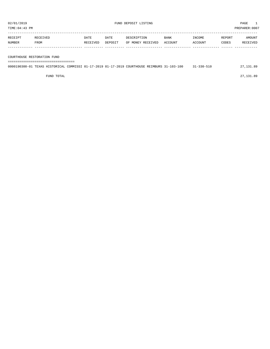| RECEIPT | RECEIVED | DATE     | DATE    | DESCRIPTION       | <b>BANK</b> | INCOME  | REPORT | AMOUNT   |
|---------|----------|----------|---------|-------------------|-------------|---------|--------|----------|
| NUMBER  | FROM     | RECEIVED | DEPOSIT | OF MONEY RECEIVED | ACCOUNT     | ACCOUNT | CODES  | RECEIVED |
|         |          |          |         |                   |             |         |        |          |
|         |          |          |         |                   |             |         |        |          |

COURTHOUSE RESTORATION FUND

===================================

| 0000190300-01 TEXAS HISTORICAL COMMISSI 01-17-2019 01-17-2019 COURTHOUSE REIMBURS 31-103-100 |  |  |  |  | $31 - 330 - 510$ | 27.131.89 |
|----------------------------------------------------------------------------------------------|--|--|--|--|------------------|-----------|
|                                                                                              |  |  |  |  |                  |           |

FUND TOTAL 27,131.89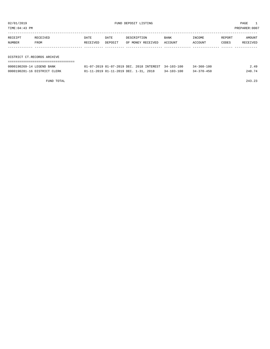TIME:04:43 PM PREPARER:0007

| RECEIPT | RECEIVED                    | DATE     | DATE    | DESCRIPTION       | BANK    | INCOME  | REPORT | AMOUNT   |
|---------|-----------------------------|----------|---------|-------------------|---------|---------|--------|----------|
| NUMBER  | FROM                        | RECEIVED | DEPOSIT | OF MONEY RECEIVED | ACCOUNT | ACCOUNT | CODES  | RECEIVED |
|         |                             |          |         |                   |         |         |        |          |
|         |                             |          |         |                   |         |         |        |          |
|         | DISTRICT CT.RECORDS ARCHIVE |          |         |                   |         |         |        |          |

| 0000190269-14 LEGEND BANK    | 01-07-2019 01-07-2019 DEC. 2018 INTEREST 34-103-100 |                  | $34 - 360 - 100$ | 2.49   |
|------------------------------|-----------------------------------------------------|------------------|------------------|--------|
| 0000190281-16 DISTRICT CLERK | 01-11-2019 01-11-2019 DEC. 1-31, 2018               | $34 - 103 - 100$ | $34 - 370 - 450$ | 240.74 |

FUND TOTAL 243.23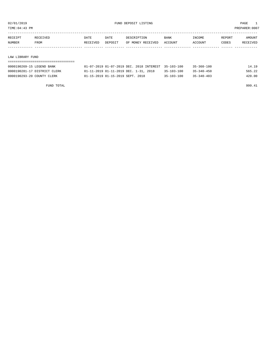TIME:04:43 PM PREPARER:0007

| RECEIPT | RECEIVED | DATE     | DATE    | DESCRIPTION       | <b>BANK</b> | INCOME  | REPORT | AMOUNT   |
|---------|----------|----------|---------|-------------------|-------------|---------|--------|----------|
| NUMBER  | FROM     | RECEIVED | DEPOSIT | OF MONEY RECEIVED | ACCOUNT     | ACCOUNT | CODES  | RECEIVED |
|         |          |          |         |                   |             |         |        |          |
|         |          |          |         |                   |             |         |        |          |
|         |          |          |         |                   |             |         |        |          |

#### LAW LIBRARY FUND

| 0000190269-15 LEGEND BANK    | 01-07-2019 01-07-2019 DEC. 2018 INTEREST 35-103-100 |                  | $35 - 360 - 100$ | 14.19  |
|------------------------------|-----------------------------------------------------|------------------|------------------|--------|
| 0000190281-17 DISTRICT CLERK | 01-11-2019 01-11-2019 DEC. 1-31, 2018               | $35 - 103 - 100$ | $35 - 340 - 450$ | 565.22 |
| 0000190293-20 COUNTY CLERK   | 01-15-2019 01-15-2019 SEPT. 2018                    | $35 - 103 - 100$ | $35 - 340 - 403$ | 420.00 |

FUND TOTAL 999.41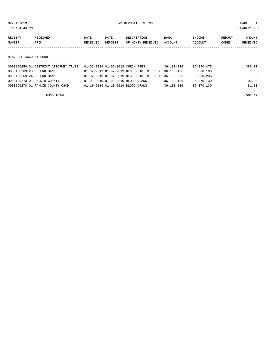TIME:04:43 PM PREPARER:0007

| RECEIPT               | RECEIVED | DATE     | DATE    | DESCRIPTION       | <b>BANK</b> | INCOME  | REPORT | AMOUNT   |  |
|-----------------------|----------|----------|---------|-------------------|-------------|---------|--------|----------|--|
| NUMBER                | FROM     | RECEIVED | DEPOSIT | OF MONEY RECEIVED | ACCOUNT     | ACCOUNT | CODES  | RECEIVED |  |
|                       |          |          |         |                   |             |         |        |          |  |
|                       |          |          |         |                   |             |         |        |          |  |
| D.A. FEE ACCOUNT FUND |          |          |         |                   |             |         |        |          |  |
|                       |          |          |         |                   |             |         |        |          |  |

| 0000190250-01 DISTRICT ATTORNEY TRUST | 01-02-2019 01-02-2019 CHECK FEES                            | $36 - 103 - 136$ | 36-340-475       | 385.00 |
|---------------------------------------|-------------------------------------------------------------|------------------|------------------|--------|
| 0000190269-23 LEGEND BANK             | 01-07-2019 01-07-2019 DEC. 2018 INTEREST                    | $36 - 103 - 136$ | $36 - 360 - 100$ | 1.00   |
| 0000190269-24 LEGEND BANK             | $01-07-2019$ $01-07-2019$ DEC, $2018$ INTEREST $36-103-236$ |                  | $36 - 360 - 236$ | 1.52   |
| 0000190273-01 FANNIN COUNTY           | 01-09-2019 01-09-2019 BLOOD DRAWS                           | $36 - 103 - 136$ | $36 - 370 - 130$ | 92.80  |
| 0000190278-01 FANNIN COUNTY CSCD      | 01-10-2019 01-10-2019 BLOOD DRAWS                           | $36 - 103 - 136$ | 36-370-130       | 81.80  |
|                                       |                                                             |                  |                  |        |

FUND TOTAL 562.12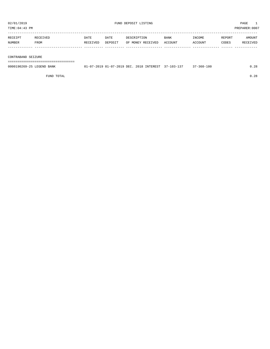TIME:04:43 PM PREPARER:0007 -----------------------------------------------------------------------------------------------------------------------------------

|        |      | DATE                                                                                    | DATF           |                 | <b>BANK</b> | <b>NCOMF</b> | REPORT     | MOUNT  |
|--------|------|-----------------------------------------------------------------------------------------|----------------|-----------------|-------------|--------------|------------|--------|
| NUMBER | TROM | 'VET<br>the contract of the contract of the contract of the contract of the contract of | <b>DEPOSTT</b> | VET<br>MC<br>חר | ACCOUNT     | CCOUNT       | CODES<br>. | יהדל ד |
|        |      |                                                                                         |                |                 |             |              |            |        |

#### CONTRABAND SEIZURE

===================================

| 0000190269-25 LEGEND BANK |  | u1-07-2019 01-07-2019 DEC. 2018 INTEREST 37-103-137 | $37 - 360 - 100$ | ററ |
|---------------------------|--|-----------------------------------------------------|------------------|----|
|                           |  |                                                     |                  |    |

FUND TOTAL 0.28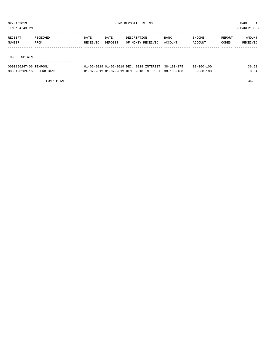TIME:04:43 PM PREPARER:0007

| RECEIPT       | RECEIVED | DATE     | DATE    | DESCRIPTION       | <b>BANK</b> | INCOME  | REPORT | AMOUNT   |
|---------------|----------|----------|---------|-------------------|-------------|---------|--------|----------|
| NUMBER        | FROM     | RECEIVED | DEPOSIT | OF MONEY RECEIVED | ACCOUNT     | ACCOUNT | CODES  | RECEIVED |
|               |          |          |         |                   |             |         |        |          |
|               |          |          |         |                   |             |         |        |          |
| IHC CO-OP GIN |          |          |         |                   |             |         |        |          |
|               |          |          |         |                   |             |         |        |          |

| 0000190247-06 TEXPOOL     | 01-02-2019 01-02-2019 DEC. 2018 INTEREST 38-103-175 | $38 - 360 - 100$ | 36.28 |
|---------------------------|-----------------------------------------------------|------------------|-------|
| 0000190269-16 LEGEND BANK | 01-07-2019 01-07-2019 DEC. 2018 INTEREST 38-103-100 | $38 - 360 - 100$ | 0.04  |

FUND TOTAL 36.32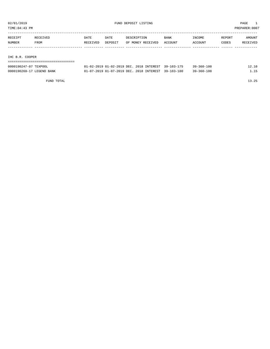TIME:04:43 PM PREPARER:0007

| RECEIPT         | RECEIVED | DATE     | DATE    | DESCRIPTION       | <b>BANK</b> | INCOME  | REPORT | <b>AMOUNT</b> |
|-----------------|----------|----------|---------|-------------------|-------------|---------|--------|---------------|
| NUMBER          | FROM     | RECEIVED | DEPOSIT | OF MONEY RECEIVED | ACCOUNT     | ACCOUNT | CODES  | RECEIVED      |
|                 |          |          |         |                   |             |         |        |               |
|                 |          |          |         |                   |             |         |        |               |
| IHC B.R. COOPER |          |          |         |                   |             |         |        |               |

| ------------------------------------ |                                                     |  |                  |       |
|--------------------------------------|-----------------------------------------------------|--|------------------|-------|
| 0000190247-07 TEXPOOL                | 01-02-2019 01-02-2019 DEC. 2018 INTEREST 39-103-175 |  | $39 - 360 - 100$ | 12.10 |
| 0000190269-17 LEGEND BANK            | 01-07-2019 01-07-2019 DEC. 2018 INTEREST 39-103-100 |  | $39 - 360 - 100$ | 1 15  |

FUND TOTAL 13.25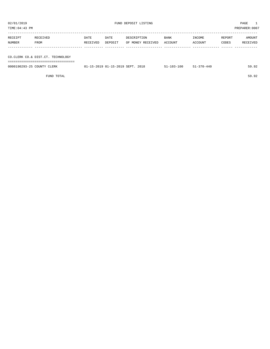| 02/01/2019<br>TIME: 04: 43 PM                                          |                  |                  |                 | FUND DEPOSIT LISTING             | PAGE<br>PREPARER: 0007 |                   |                 |                    |  |
|------------------------------------------------------------------------|------------------|------------------|-----------------|----------------------------------|------------------------|-------------------|-----------------|--------------------|--|
| RECEIPT<br>NUMBER                                                      | RECEIVED<br>FROM | DATE<br>RECEIVED | DATE<br>DEPOSIT | DESCRIPTION<br>OF MONEY RECEIVED | BANK<br>ACCOUNT        | INCOME<br>ACCOUNT | REPORT<br>CODES | AMOUNT<br>RECEIVED |  |
| CO.CLERK CO.& DIST.CT. TECHNOLOGY<br>--------------------------------- |                  |                  |                 |                                  |                        |                   |                 |                    |  |

0000190293-25 COUNTY CLERK 01-15-2019 01-15-2019 SEPT. 2018 51-103-100 51-370-440 59.92

FUND TOTAL 59.92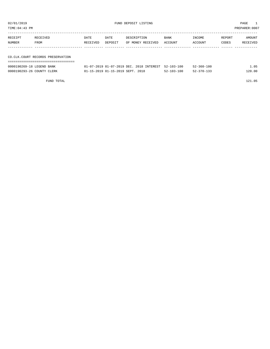| TIME:04:43 PM<br>PREPARER: 0007     |          |          |         |                   |             |         |        |          |  |  |  |  |
|-------------------------------------|----------|----------|---------|-------------------|-------------|---------|--------|----------|--|--|--|--|
| RECEIPT                             | RECEIVED | DATE     | DATE    | DESCRIPTION       | <b>BANK</b> | INCOME  | REPORT | AMOUNT   |  |  |  |  |
| NUMBER<br>FROM                      |          | RECEIVED | DEPOSIT | OF MONEY RECEIVED | ACCOUNT     | ACCOUNT | CODES  | RECEIVED |  |  |  |  |
|                                     |          |          |         |                   |             |         |        |          |  |  |  |  |
| CO. CLK. COURT RECORDS PRESERVATION |          |          |         |                   |             |         |        |          |  |  |  |  |
|                                     |          |          |         |                   |             |         |        |          |  |  |  |  |

| COOCLOCATED TROUND DANIE |  |  | 1.07.3010.01.07.3010.ppg | $\cap$ |
|--------------------------|--|--|--------------------------|--------|

| 0000190269-18 LEGEND BANK  | $01-07-2019$ $01-07-2019$ DEC, $2018$ INTEREST 52-103-100 |                  | $52 - 360 - 100$ | ⊥.05   |
|----------------------------|-----------------------------------------------------------|------------------|------------------|--------|
| 0000190293-26 COUNTY CLERK | 01-15-2019 01-15-2019 SEPT. 2018                          | $52 - 103 - 100$ | $52 - 370 - 133$ | 120.00 |

FUND TOTAL 121.05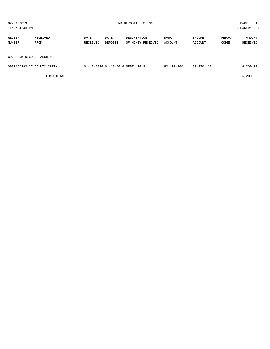| TIME: 04: 43 PM          |                             |          |         |                                  |                  |                  |        | PREPARER:0007 |
|--------------------------|-----------------------------|----------|---------|----------------------------------|------------------|------------------|--------|---------------|
|                          |                             |          |         |                                  |                  |                  |        |               |
| RECEIPT                  | RECEIVED                    | DATE     | DATE    | DESCRIPTION                      | BANK             | INCOME           | REPORT | AMOUNT        |
| NUMBER                   | FROM                        | RECEIVED | DEPOSIT | OF MONEY RECEIVED                | ACCOUNT          | ACCOUNT          | CODES  | RECEIVED      |
|                          |                             |          |         |                                  |                  |                  |        |               |
|                          |                             |          |         |                                  |                  |                  |        |               |
| CO.CLERK RECORDS ARCHIVE |                             |          |         |                                  |                  |                  |        |               |
|                          | =========================== |          |         |                                  |                  |                  |        |               |
|                          | 0000190293-27 COUNTY CLERK  |          |         | 01-15-2019 01-15-2019 SEPT. 2018 | $53 - 103 - 100$ | $53 - 370 - 133$ |        | 6, 200.00     |
|                          |                             |          |         |                                  |                  |                  |        |               |

FUND TOTAL 6,200.00

| 02/01/2019    | FUND DEPOSIT LISTING | PAGE         |
|---------------|----------------------|--------------|
| TIME:04:43 PM |                      | PREPARER:000 |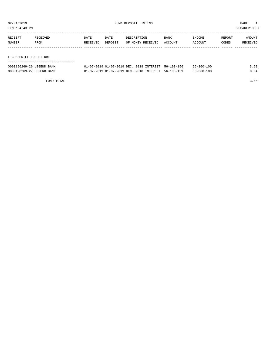TIME:04:43 PM PREPARER:0007

| RECEIPT | RECEIVED | DATE     | DATE    | DESCRIPTION       | <b>BANK</b> | INCOME  | REPORT | AMOUNT   |
|---------|----------|----------|---------|-------------------|-------------|---------|--------|----------|
| NUMBER  | FROM     | RECEIVED | DEPOSIT | OF MONEY RECEIVED | ACCOUNT     | ACCOUNT | CODES  | RECEIVED |
|         |          |          |         |                   |             |         |        |          |
|         |          |          |         |                   |             |         |        |          |

### F C SHERIFF FORFEITURE

| 0000190269-26 LEGEND BANK | 01-07-2019 01-07-2019 DEC, 2018 INTEREST, 56-103-156 |  | $56 - 360 - 100$ | 3.62 |
|---------------------------|------------------------------------------------------|--|------------------|------|
| 0000190269-27 LEGEND BANK | 01-07-2019 01-07-2019 DEC. 2018 INTEREST 56-103-159  |  | $56 - 360 - 100$ | 0.04 |

FUND TOTAL 3.66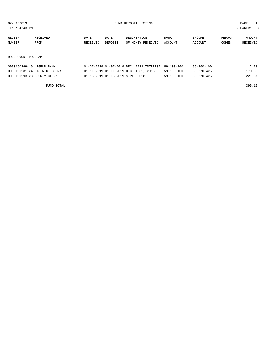TIME:04:43 PM PREPARER:0007

| RECEIPT            | RECEIVED | DATE     | DATE    | DESCRIPTION       | <b>BANK</b> | INCOME  | REPORT | AMOUNT   |
|--------------------|----------|----------|---------|-------------------|-------------|---------|--------|----------|
| NUMBER             | FROM     | RECEIVED | DEPOSIT | OF MONEY RECEIVED | ACCOUNT     | ACCOUNT | CODES  | RECEIVED |
|                    |          |          |         |                   |             |         |        |          |
|                    |          |          |         |                   |             |         |        |          |
| DRUG COURT PROGRAM |          |          |         |                   |             |         |        |          |

## ===================================

| 0000190269-19 LEGEND BANK    | 01-07-2019 01-07-2019 DEC. 2018 INTEREST 59-103-100 |  |                  | $59 - 360 - 100$ | 2.78   |
|------------------------------|-----------------------------------------------------|--|------------------|------------------|--------|
| 0000190281-24 DISTRICT CLERK | 01-11-2019 01-11-2019 DEC. 1-31, 2018               |  | $59 - 103 - 100$ | 59-370-425       | 170.80 |
| 0000190293-28 COUNTY CLERK   | 01-15-2019 01-15-2019 SEPT. 2018                    |  | $59 - 103 - 100$ | 59-370-425       | 221.57 |

FUND TOTAL 395.15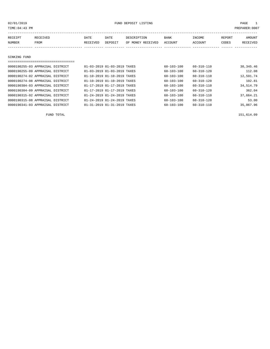| TIME: 04: 43 PM                  |          |                             |                                         |             |                   |                  |                  |        | PREPARER:0007 |
|----------------------------------|----------|-----------------------------|-----------------------------------------|-------------|-------------------|------------------|------------------|--------|---------------|
| RECEIPT                          | RECEIVED | DATE                        | DATE                                    | DESCRIPTION |                   | <b>BANK</b>      | INCOME           | REPORT | AMOUNT        |
| NUMBER                           | FROM     | RECEIVED                    | DEPOSIT                                 |             | OF MONEY RECEIVED | ACCOUNT          | ACCOUNT          | CODES  | RECEIVED      |
|                                  |          |                             |                                         |             |                   |                  |                  |        |               |
|                                  |          |                             |                                         |             |                   |                  |                  |        |               |
| SINKING FUND                     |          |                             |                                         |             |                   |                  |                  |        |               |
|                                  |          |                             |                                         |             |                   |                  |                  |        |               |
| 0000190255-03 APPRAISAL DISTRICT |          | 01-03-2019 01-03-2019 TAXES |                                         |             |                   | $60 - 103 - 100$ | $60 - 310 - 110$ |        | 30, 345.46    |
| 0000190255-09 APPRAISAL DISTRICT |          | 01-03-2019 01-03-2019 TAXES |                                         |             |                   | $60 - 103 - 100$ | $60 - 310 - 120$ |        | 112.08        |
| 0000190274-02 APPRAISAL DISTRICT |          | 01-10-2019 01-10-2019 TAXES |                                         |             |                   | $60 - 103 - 100$ | $60 - 310 - 110$ |        | 12,591.74     |
| 0000190274-08 APPRAISAL DISTRICT |          |                             | $01 - 10 - 2019$ $01 - 10 - 2019$ TAXES |             |                   | 60-103-100       | 60-310-120       |        | 102.81        |
| 0000190304-03 APPRAISAL DISTRICT |          | 01-17-2019 01-17-2019 TAXES |                                         |             |                   | $60 - 103 - 100$ | $60 - 310 - 110$ |        | 34,514.79     |
| 0000190304-09 APPRAISAL DISTRICT |          | 01-17-2019 01-17-2019 TAXES |                                         |             |                   | $60 - 103 - 100$ | $60 - 310 - 120$ |        | 362.04        |
| 0000190315-02 APPRAISAL DISTRICT |          | 01-24-2019 01-24-2019 TAXES |                                         |             |                   | 60-103-100       | $60 - 310 - 110$ |        | 37,664.21     |
|                                  |          |                             |                                         |             |                   |                  |                  |        |               |

0000190315-08 APPRAISAL DISTRICT 01-24-2019 01-24-2019 TAXES 60-103-100 60-310-120 53.00 0000190341-03 APPRAISAL DISTRICT 01-31-2019 01-31-2019 TAXES 60-103-100 60-310-110 35,867.96

FUND TOTAL 151,614.09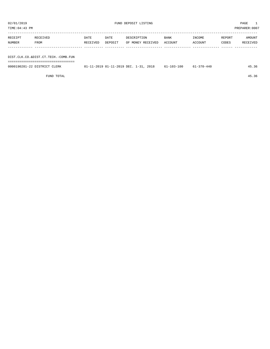TIME:04:43 PM PREPARER:0007 ----------------------------------------------------------------------------------------------------------------------------------- RECEIPT RECEIVED DATE DATE DESCRIPTION BANK INCOME REPORT AMOUNT

| NUMBER | FROM                                | RECEIVED | DEPOSIT                               | OF MONEY RECEIVED ACCOUNT |            | ACCOUNT    | CODES | RECEIVED |
|--------|-------------------------------------|----------|---------------------------------------|---------------------------|------------|------------|-------|----------|
|        |                                     |          |                                       |                           |            |            |       |          |
|        |                                     |          |                                       |                           |            |            |       |          |
|        | DIST.CLK.CO.&DIST.CT.TECH.-COMB.FUN |          |                                       |                           |            |            |       |          |
|        |                                     |          |                                       |                           |            |            |       |          |
|        | 0000190281-22 DISTRICT CLERK        |          | 01-11-2019 01-11-2019 DEC. 1-31, 2018 |                           | 61-103-100 | 61-370-440 |       | 45.36    |
|        |                                     |          |                                       |                           |            |            |       |          |

FUND TOTAL 45.36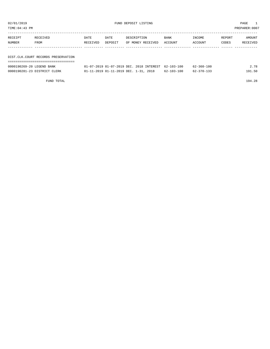| TIME:04:43 PM<br>PREPARER:0007 |                                     |          |         |                   |         |         |        |          |  |  |
|--------------------------------|-------------------------------------|----------|---------|-------------------|---------|---------|--------|----------|--|--|
| RECEIPT                        | RECEIVED                            | DATE     | DATE    | DESCRIPTION       | BANK    | INCOME  | REPORT | AMOUNT   |  |  |
| NUMBER                         | FROM                                | RECEIVED | DEPOSIT | OF MONEY RECEIVED | ACCOUNT | ACCOUNT | CODES  | RECEIVED |  |  |
|                                |                                     |          |         |                   |         |         |        |          |  |  |
|                                | DIST.CLK.COURT RECORDS PRESERVATION |          |         |                   |         |         |        |          |  |  |
|                                |                                     |          |         |                   |         |         |        |          |  |  |

| 0000190269-20 LEGEND BANK    | 01-07-2019 01-07-2019 DEC. 2018 INTEREST 62-103-100 |                  | $62 - 360 - 100$ | 2.78   |
|------------------------------|-----------------------------------------------------|------------------|------------------|--------|
| 0000190281-23 DISTRICT CLERK | 01-11-2019 01-11-2019 DEC. 1-31, 2018               | $62 - 103 - 100$ | $62 - 370 - 133$ | 191.50 |

FUND TOTAL 194.28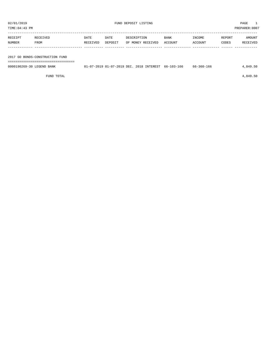| TIME:04:43 PM<br>PREPARER:0007 |                                                                          |          |         |                   |         |         |        |                                         |  |  |  |
|--------------------------------|--------------------------------------------------------------------------|----------|---------|-------------------|---------|---------|--------|-----------------------------------------|--|--|--|
| RECEIPT                        | RECEIVED                                                                 | DATE     | DATE    | DESCRIPTION       | BANK    | INCOME  | REPORT | AMOUNT                                  |  |  |  |
| NUMBER                         | FROM                                                                     | RECEIVED | DEPOSIT | OF MONEY RECEIVED | ACCOUNT | ACCOUNT | CODES  | RECEIVED                                |  |  |  |
|                                |                                                                          |          |         |                   |         |         |        |                                         |  |  |  |
|                                | 2017 GO BONDS-CONSTRUCTION FUND<br>_____________________________________ |          |         |                   |         |         |        |                                         |  |  |  |
|                                |                                                                          |          |         |                   |         | .       |        | $\cdot$ $\cdot$ $\cdot$ $\cdot$ $\cdot$ |  |  |  |

0000190269-30 LEGEND BANK 01-07-2019 01-07-2019 DEC. 2018 INTEREST 66-103-166 66-360-166 4,849.50

FUND TOTAL  $4,849.50$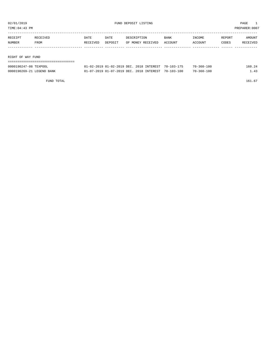| PREPARER: 0007<br>TIME:04:43 PM |                   |          |         |                   |         |         |        |          |  |  |  |
|---------------------------------|-------------------|----------|---------|-------------------|---------|---------|--------|----------|--|--|--|
| RECEIPT                         | RECEIVED          | DATE     | DATE    | DESCRIPTION       | BANK    | INCOME  | REPORT | AMOUNT   |  |  |  |
| NUMBER                          | FROM              | RECEIVED | DEPOSIT | OF MONEY RECEIVED | ACCOUNT | ACCOUNT | CODES  | RECEIVED |  |  |  |
|                                 |                   |          |         |                   |         |         |        |          |  |  |  |
|                                 | RIGHT OF WAY FUND |          |         |                   |         |         |        |          |  |  |  |
|                                 |                   |          |         |                   |         |         |        |          |  |  |  |

| <b>TRYDOO</b><br>0000190247-08                | 2018<br>2-2019 DEC<br><b>TNTEREST</b><br>$-02-7$<br>$-02$<br>ົດດາ                              | $70 - 103 - 1$   | l 0 (<br>360-<br>70. | 6 ( |
|-----------------------------------------------|------------------------------------------------------------------------------------------------|------------------|----------------------|-----|
| 0000190269-21<br><b>LEGEND</b><br><b>BANK</b> | DEC.<br>201.R<br><b>TNTEREST</b><br>. – 07<br>$J - 2019$ <sup>--</sup><br>$-07$<br><b>COLO</b> | $70 - 103 - 100$ | L O C<br>360-<br>70- |     |

FUND TOTAL  $161.67$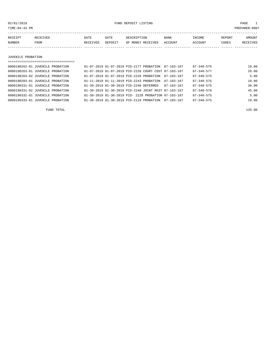02/01/2019 FUND DEPOSIT LISTING PAGE 1

| RECEIPT | RECEIVED | DATE            | DATE    | DESCRIPTION       | <b>BANK</b> | INCOME         | REPORT | AMOUNT          |
|---------|----------|-----------------|---------|-------------------|-------------|----------------|--------|-----------------|
| NUMBER  | FROM     | <b>RECEIVED</b> | DEPOSIT | OF MONEY RECEIVED | ACCOUNT     | <b>ACCOUNT</b> | CODES  | <b>RECEIVED</b> |
|         |          |                 |         |                   |             |                |        |                 |

JUVENILE PROBATION

| 0000190262-01 JUVENILE PROBATION |  | 01-07-2019 01-07-2019 PID-2177 PROBATION 87-103-187  |            | $87 - 340 - 575$ | 10.00 |
|----------------------------------|--|------------------------------------------------------|------------|------------------|-------|
| 0000190263-01 JUVENILE PROBATION |  | 01-07-2019 01-07-2019 PID-2228 COURT COST 87-103-187 |            | $87 - 340 - 577$ | 20.00 |
| 0000190263-02 JUVENILE PROBATION |  | 01-07-2019 01-07-2019 PID-2228 PROBATION             | 87-103-187 | $87 - 340 - 575$ | 5.00  |
| 0000190283-01 JUVENILE PROBATION |  | 01-11-2019 01-11-2019 PID-2243 PROBATION             | 87-103-187 | $87 - 340 - 575$ | 10.00 |
| 0000190331-01 JUVENILE PROBATION |  | 01-30-2019 01-30-2019 PID-2240 DEFERRED              | 87-103-187 | $87 - 340 - 575$ | 30.00 |
| 0000190331-02 JUVENILE PROBATION |  | 01-30-2019 01-30-2019 PID-2240 JOINT REST 87-103-187 |            | $87 - 340 - 576$ | 45.00 |
| 0000190332-01 JUVENILE PROBATION |  | 01-30-2019 01-30-2019 PID- 2228 PROBATION 87-103-187 |            | $87 - 340 - 575$ | 5.00  |
| 0000190333-01 JUVENILE PROBATION |  | 01-30-2019 01-30-2019 PID-2118 PROBATION             | 87-103-187 | $87 - 340 - 575$ | 10.00 |
|                                  |  |                                                      |            |                  |       |

FUND TOTAL 135.00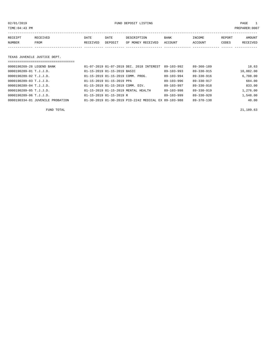02/01/2019 FUND DEPOSIT LISTING PAGE 1

| RECEIPT | RECEIVED | DATE     | DATE    | DESCRIPTION       | <b>BANK</b>    | INCOME  | REPORT | AMOUNT          |
|---------|----------|----------|---------|-------------------|----------------|---------|--------|-----------------|
| NUMBER  | FROM     | RECEIVED | DEPOSIT | OF MONEY RECEIVED | <b>ACCOUNT</b> | ACCOUNT | CODES  | <b>RECEIVED</b> |
|         |          |          |         |                   |                |         |        |                 |

#### TEXAS JUVENILE JUSTICE DEPT.

| ================================= |                                       |                                                      |                  |                  |           |
|-----------------------------------|---------------------------------------|------------------------------------------------------|------------------|------------------|-----------|
| 0000190269-28 LEGEND BANK         |                                       | 01-07-2019 01-07-2019 DEC. 2018 INTEREST             | $89 - 103 - 992$ | $89 - 360 - 189$ | 18.63     |
| 0000190289-01 T.J.J.D.            | 01-15-2019 01-15-2019 BASIC           |                                                      | $89 - 103 - 993$ | 89-330-915       | 10,082.00 |
| $0.000190289 - 02$ T.J.J.D.       |                                       | $01-15-2019$ $01-15-2019$ COMM. PROG.                | $89 - 103 - 994$ | 89-330-916       | 6,708.00  |
| $0000190289 - 03$ T.J.J.D.        | $01 - 15 - 2019$ $01 - 15 - 2019$ PPA |                                                      | $89 - 103 - 996$ | $89 - 330 - 917$ | 684.00    |
| 0000190289-04 T.J.J.D.            | 01-15-2019 01-15-2019 COMM. DIV.      |                                                      | $89 - 103 - 997$ | $89 - 330 - 918$ | 833.00    |
| 0000190289-05 T.J.J.D.            |                                       | 01-15-2019 01-15-2019 MENTAL HEALTH                  | $89 - 103 - 998$ | $89 - 330 - 919$ | 1,276.00  |
| 0000190289-06 T.J.J.D.            | 01-15-2019 01-15-2019 R               |                                                      | 89-103-999       | $89 - 330 - 920$ | 1,548.00  |
| 0000190334-01 JUVENILE PROBATION  |                                       | 01-30-2019 01-30-2019 PID-2242 MEDICAL EX 89-103-988 |                  | $89 - 370 - 130$ | 40.00     |

FUND TOTAL 21,189.63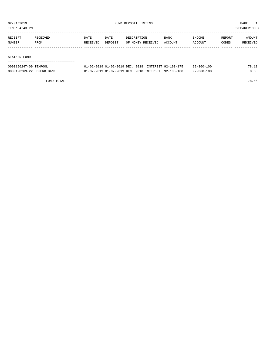TIME:04:43 PM PREPARER:0007

| RECEIPT | RECEIVED | DATE     | DATE    | DESCRIPTION       | <b>BANK</b> | INCOME  | REPORT | AMOUNT   |
|---------|----------|----------|---------|-------------------|-------------|---------|--------|----------|
| NUMBER  | FROM     | RECEIVED | DEPOSIT | OF MONEY RECEIVED | ACCOUNT     | ACCOUNT | CODES  | RECEIVED |
|         |          |          |         |                   |             |         |        |          |

#### STATZER FUND

| ---------------------------------<br>----------------------- |                                                     |  |  |                  |       |
|--------------------------------------------------------------|-----------------------------------------------------|--|--|------------------|-------|
| 0000190247-09 TEXPOOL                                        | 01-02-2019 01-02-2019 DEC, 2018 INTEREST 92-103-175 |  |  | $92 - 360 - 100$ | 78.18 |
| 0000190269-22 LEGEND BANK                                    | 01-07-2019 01-07-2019 DEC. 2018 INTEREST 92-103-100 |  |  | $92 - 360 - 100$ | 0.38  |

FUND TOTAL 78.56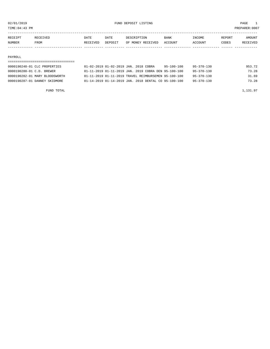TIME:04:43 PM PREPARER:0007

| RECEIPT       | <b>RECEIVED</b> | DATE     | DATE    | DESCRIPTION       | <b>BANK</b> | <b>TNCOME</b> | REPORT | AMOUNT          |
|---------------|-----------------|----------|---------|-------------------|-------------|---------------|--------|-----------------|
| <b>NUMBER</b> | FROM            | RECEIVED | DEPOSIT | OF MONEY RECEIVED | ACCOUNT     | ACCOUNT       | CODES  | <b>RECEIVED</b> |
|               |                 |          |         |                   |             |               |        |                 |

#### PAYROLL

## ===================================

| 0000190248-01 CLC PROPERTIES   |  | 01-02-2019 01-02-2019 JAN. 2018 COBRA                | 95-100-100 | $95 - 370 - 130$ | 953.72 |
|--------------------------------|--|------------------------------------------------------|------------|------------------|--------|
| 0000190280-01 C.D. BREWER      |  | 01-11-2019 01-11-2019 JAN. 2019 COBRA DEN 95-100-100 |            | $95 - 370 - 130$ | 73.28  |
| 0000190282-01 MARY BLOODSWORTH |  | 01-11-2019 01-11-2019 TRAVEL REIMBURSEMEN 95-100-100 |            | $95 - 370 - 130$ | 31.69  |
| 0000190287-01 DANNEY SKIDMORE  |  | 01-14-2019 01-14-2019 JAN. 2018 DENTAL CO 95-100-100 |            | $95 - 370 - 130$ | 73.28  |
|                                |  |                                                      |            |                  |        |

FUND TOTAL  $1,131.97$